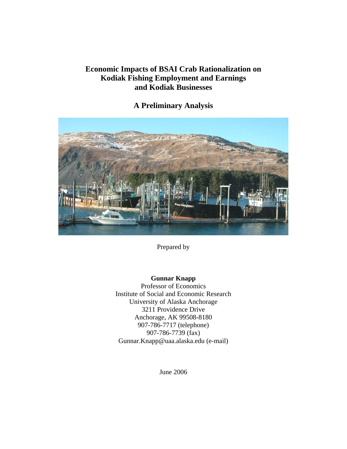# **Economic Impacts of BSAI Crab Rationalization on Kodiak Fishing Employment and Earnings and Kodiak Businesses**

# **A Preliminary Analysis**



Prepared by

# **Gunnar Knapp**

Professor of Economics Institute of Social and Economic Research University of Alaska Anchorage 3211 Providence Drive Anchorage, AK 99508-8180 907-786-7717 (telephone) 907-786-7739 (fax) Gunnar.Knapp@uaa.alaska.edu (e-mail)

June 2006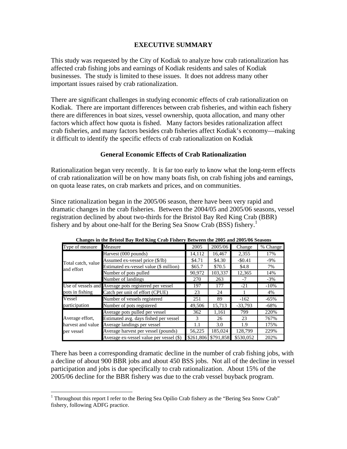### **EXECUTIVE SUMMARY**

This study was requested by the City of Kodiak to analyze how crab rationalization has affected crab fishing jobs and earnings of Kodiak residents and sales of Kodiak businesses. The study is limited to these issues. It does not address many other important issues raised by crab rationalization.

There are significant challenges in studying economic effects of crab rationalization on Kodiak. There are important differences between crab fisheries, and within each fishery there are differences in boat sizes, vessel ownership, quota allocation, and many other factors which affect how quota is fished. Many factors besides rationalization affect crab fisheries, and many factors besides crab fisheries affect Kodiak's economy—making it difficult to identify the specific effects of crab rationalization on Kodiak

### **General Economic Effects of Crab Rationalization**

Rationalization began very recently. It is far too early to know what the long-term effects of crab rationalization will be on how many boats fish, on crab fishing jobs and earnings, on quota lease rates, on crab markets and prices, and on communities.

Since rationalization began in the 2005/06 season, there have been very rapid and dramatic changes in the crab fisheries. Between the 2004/05 and 2005/06 seasons, vessel registration declined by about two-thirds for the Bristol Bay Red King Crab (BBR) fishery and by about one-half for the Bering Sea Snow Crab (BSS) fishery.<sup>1</sup>

| Type of measure    | Measure                                               | 2005      | 2005/06   | Change    | % Change |
|--------------------|-------------------------------------------------------|-----------|-----------|-----------|----------|
|                    | Harvest (000 pounds)                                  | 14,112    | 16.467    | 2,355     | 17%      |
| Total catch, value | Assumed ex-vessel price (\$/lb)                       | \$4.71    | \$4.30    | $-$0.41$  | $-9\%$   |
| and effort         | Estimated ex-vessel value (\$ million)                | \$65.7    | \$70.5    | \$4.8     | 7%       |
|                    | Number of pots pulled                                 | 90.972    | 103,337   | 12,365    | 14%      |
|                    | Number of landings                                    | 270       | 263       | $-7$      | $-3%$    |
|                    | Use of vessels and Average pots registered per vessel | 197       | 177       | $-21$     | $-10%$   |
| pots in fishing    | Catch per unit of effort (CPUE)                       | 23        | 24        |           | 4%       |
| Vessel             | Number of vessels registered                          | 251       | 89        | $-162$    | $-65%$   |
| participation      | Number of pots registered                             | 49,506    | 15.713    | $-33.793$ | $-68%$   |
|                    | Average pots pulled per vessel                        | 362       | 1,161     | 799       | 220%     |
| Average effort,    | Estimated avg. days fished per vessel                 | 3         | 26        | 23        | 767%     |
| harvest and value  | Average landings per vessel                           | 1.1       | 3.0       | 1.9       | 175%     |
| per vessel         | Average harvest per vessel (pounds)                   | 56,225    | 185,024   | 128,799   | 229%     |
|                    | Average ex-vessel value per vessel (\$)               | \$261,806 | \$791.858 | \$530.052 | 202%     |

**Changes in the Bristol Bay Red King Crab Fishery Between the 2005 and 2005/06 Seasons**

There has been a corresponding dramatic decline in the number of crab fishing jobs, with a decline of about 900 BBR jobs and about 450 BSS jobs. Not all of the decline in vessel participation and jobs is due specifically to crab rationalization. About 15% of the 2005/06 decline for the BBR fishery was due to the crab vessel buyback program.

1

<sup>&</sup>lt;sup>1</sup> Throughout this report I refer to the Bering Sea Opilio Crab fishery as the "Bering Sea Snow Crab" fishery, following ADFG practice.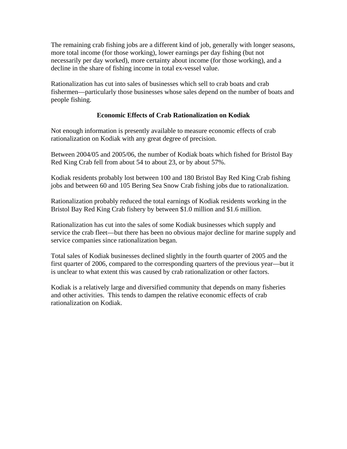The remaining crab fishing jobs are a different kind of job, generally with longer seasons, more total income (for those working), lower earnings per day fishing (but not necessarily per day worked), more certainty about income (for those working), and a decline in the share of fishing income in total ex-vessel value.

Rationalization has cut into sales of businesses which sell to crab boats and crab fishermen—particularly those businesses whose sales depend on the number of boats and people fishing.

## **Economic Effects of Crab Rationalization on Kodiak**

Not enough information is presently available to measure economic effects of crab rationalization on Kodiak with any great degree of precision.

Between 2004/05 and 2005/06, the number of Kodiak boats which fished for Bristol Bay Red King Crab fell from about 54 to about 23, or by about 57%.

Kodiak residents probably lost between 100 and 180 Bristol Bay Red King Crab fishing jobs and between 60 and 105 Bering Sea Snow Crab fishing jobs due to rationalization.

Rationalization probably reduced the total earnings of Kodiak residents working in the Bristol Bay Red King Crab fishery by between \$1.0 million and \$1.6 million.

Rationalization has cut into the sales of some Kodiak businesses which supply and service the crab fleet—but there has been no obvious major decline for marine supply and service companies since rationalization began.

Total sales of Kodiak businesses declined slightly in the fourth quarter of 2005 and the first quarter of 2006, compared to the corresponding quarters of the previous year—but it is unclear to what extent this was caused by crab rationalization or other factors.

Kodiak is a relatively large and diversified community that depends on many fisheries and other activities. This tends to dampen the relative economic effects of crab rationalization on Kodiak.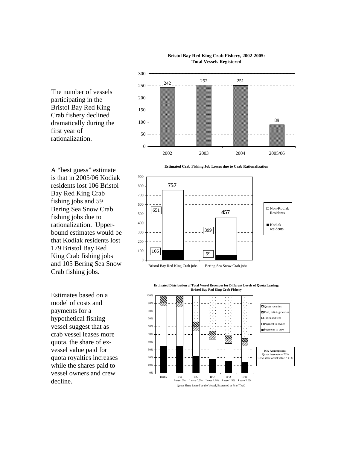

### **Bristol Bay Red King Crab Fishery, 2002-2005: Total Vessels Registered**

The number of vessels participating in the Bristol Bay Red King Crab fishery declined dramatically during the first year of rationalization.

A "best guess" estimate is that in 2005/06 Kodiak residents lost 106 Bristol Bay Red King Crab fishing jobs and 59 Bering Sea Snow Crab fishing jobs due to rationalization. Upperbound estimates would be that Kodiak residents lost 179 Bristol Bay Red King Crab fishing jobs and 105 Bering Sea Snow Crab fishing jobs.

Estimates based on a model of costs and payments for a hypothetical fishing vessel suggest that as crab vessel leases more quota, the share of exvessel value paid for quota royalties increases while the shares paid to vessel owners and crew decline.

**Estimated Crab Fishing Job Losses due to Crab Rationalization**



**Estimated Distribution of Total Vessel Revenues for Different Levels of Quota Leasing: Bristol Bay Red King Crab Fishery**

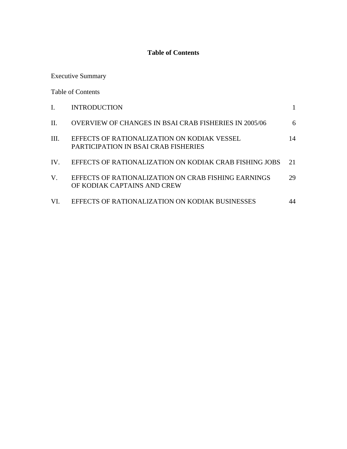# **Table of Contents**

Executive Summary

Table of Contents

|      | <b>INTRODUCTION</b>                                                                 |    |
|------|-------------------------------------------------------------------------------------|----|
| H.   | <b>OVERVIEW OF CHANGES IN BSAI CRAB FISHERIES IN 2005/06</b>                        | 6  |
| III. | EFFECTS OF RATIONALIZATION ON KODIAK VESSEL<br>PARTICIPATION IN BSAI CRAB FISHERIES | 14 |
| IV.  | EFFECTS OF RATIONALIZATION ON KODIAK CRAB FISHING JOBS                              | 21 |
| V.   | EFFECTS OF RATIONALIZATION ON CRAB FISHING EARNINGS<br>OF KODIAK CAPTAINS AND CREW  | 29 |
| VI.  | EFFECTS OF RATIONALIZATION ON KODIAK BUSINESSES                                     | 44 |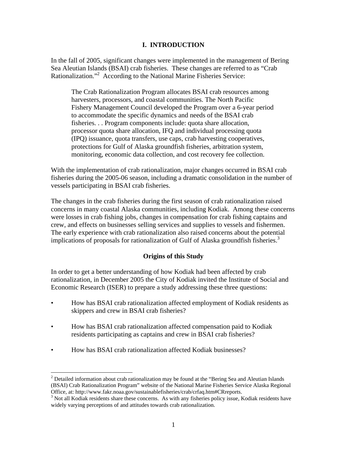## **I. INTRODUCTION**

In the fall of 2005, significant changes were implemented in the management of Bering Sea Aleutian Islands (BSAI) crab fisheries. These changes are referred to as "Crab Rationalization."<sup>2</sup> According to the National Marine Fisheries Service:

The Crab Rationalization Program allocates BSAI crab resources among harvesters, processors, and coastal communities. The North Pacific Fishery Management Council developed the Program over a 6-year period to accommodate the specific dynamics and needs of the BSAI crab fisheries. . . Program components include: quota share allocation, processor quota share allocation, IFQ and individual processing quota (IPQ) issuance, quota transfers, use caps, crab harvesting cooperatives, protections for Gulf of Alaska groundfish fisheries, arbitration system, monitoring, economic data collection, and cost recovery fee collection.

With the implementation of crab rationalization, major changes occurred in BSAI crab fisheries during the 2005-06 season, including a dramatic consolidation in the number of vessels participating in BSAI crab fisheries.

The changes in the crab fisheries during the first season of crab rationalization raised concerns in many coastal Alaska communities, including Kodiak. Among these concerns were losses in crab fishing jobs, changes in compensation for crab fishing captains and crew, and effects on businesses selling services and supplies to vessels and fishermen. The early experience with crab rationalization also raised concerns about the potential implications of proposals for rationalization of Gulf of Alaska groundfish fisheries.<sup>3</sup>

### **Origins of this Study**

In order to get a better understanding of how Kodiak had been affected by crab rationalization, in December 2005 the City of Kodiak invited the Institute of Social and Economic Research (ISER) to prepare a study addressing these three questions:

- How has BSAI crab rationalization affected employment of Kodiak residents as skippers and crew in BSAI crab fisheries?
- How has BSAI crab rationalization affected compensation paid to Kodiak residents participating as captains and crew in BSAI crab fisheries?
- How has BSAI crab rationalization affected Kodiak businesses?

1

<sup>&</sup>lt;sup>2</sup> Detailed information about crab rationalization may be found at the "Bering Sea and Aleutian Islands" (BSAI) Crab Rationalization Program" website of the National Marine Fisheries Service Alaska Regional Office, at: http://www.fakr.noaa.gov/sustainablefisheries/crab/crfaq.htm#CRreports.

<sup>&</sup>lt;sup>3</sup> Not all Kodiak residents share these concerns. As with any fisheries policy issue, Kodiak residents have widely varying perceptions of and attitudes towards crab rationalization.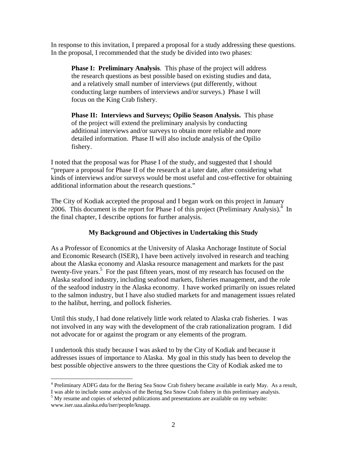In response to this invitation, I prepared a proposal for a study addressing these questions. In the proposal, I recommended that the study be divided into two phases:

**Phase I: Preliminary Analysis**. This phase of the project will address the research questions as best possible based on existing studies and data, and a relatively small number of interviews (put differently, without conducting large numbers of interviews and/or surveys.) Phase I will focus on the King Crab fishery.

**Phase II: Interviews and Surveys; Opilio Season Analysis.** This phase of the project will extend the preliminary analysis by conducting additional interviews and/or surveys to obtain more reliable and more detailed information. Phase II will also include analysis of the Opilio fishery.

I noted that the proposal was for Phase I of the study, and suggested that I should "prepare a proposal for Phase II of the research at a later date, after considering what kinds of interviews and/or surveys would be most useful and cost-effective for obtaining additional information about the research questions."

The City of Kodiak accepted the proposal and I began work on this project in January 2006. This document is the report for Phase I of this project (Preliminary Analysis). $4 \text{ In }$ the final chapter, I describe options for further analysis.

## **My Background and Objectives in Undertaking this Study**

As a Professor of Economics at the University of Alaska Anchorage Institute of Social and Economic Research (ISER), I have been actively involved in research and teaching about the Alaska economy and Alaska resource management and markets for the past twenty-five years.<sup>5</sup> For the past fifteen years, most of my research has focused on the Alaska seafood industry, including seafood markets, fisheries management, and the role of the seafood industry in the Alaska economy. I have worked primarily on issues related to the salmon industry, but I have also studied markets for and management issues related to the halibut, herring, and pollock fisheries.

Until this study, I had done relatively little work related to Alaska crab fisheries. I was not involved in any way with the development of the crab rationalization program. I did not advocate for or against the program or any elements of the program.

I undertook this study because I was asked to by the City of Kodiak and because it addresses issues of importance to Alaska. My goal in this study has been to develop the best possible objective answers to the three questions the City of Kodiak asked me to

 $\overline{a}$ <sup>4</sup> Preliminary ADFG data for the Bering Sea Snow Crab fishery became available in early May. As a result, I was able to include some analysis of the Bering Sea Snow Crab fishery in this preliminary analysis. 5

<sup>&</sup>lt;sup>5</sup> My resume and copies of selected publications and presentations are available on my website: www.iser.uaa.alaska.edu/iser/people/knapp.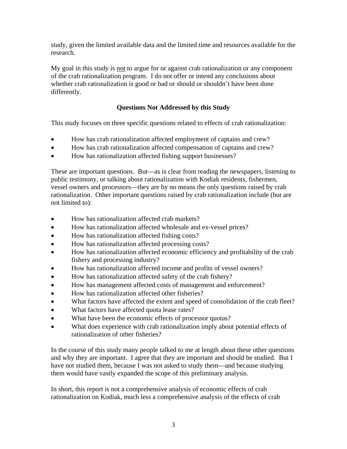study, given the limited available data and the limited time and resources available for the research.

My goal in this study is not to argue for or against crab rationalization or any component of the crab rationalization program. I do not offer or intend any conclusions about whether crab rationalization is good or bad or should or shouldn't have been done differently.

# **Questions Not Addressed by this Study**

This study focuses on three specific questions related to effects of crab rationalization:

- How has crab rationalization affected employment of captains and crew?
- How has crab rationalization affected compensation of captains and crew?
- How has rationalization affected fishing support businesses?

These are important questions. But—as is clear from reading the newspapers, listening to public testimony, or talking about rationalization with Kodiak residents, fishermen, vessel owners and processors—they are by no means the only questions raised by crab rationalization. Other important questions raised by crab rationalization include (but are not limited to):

- How has rationalization affected crab markets?
- How has rationalization affected wholesale and ex-vessel prices?
- How has rationalization affected fishing costs?
- How has rationalization affected processing costs?
- How has rationalization affected economic efficiency and profitability of the crab fishery and processing industry?
- How has rationalization affected income and profits of vessel owners?
- How has rationalization affected safety of the crab fishery?
- How has management affected costs of management and enforcement?
- How has rationalization affected other fisheries?
- What factors have affected the extent and speed of consolidation of the crab fleet?
- What factors have affected quota lease rates?
- What have been the economic effects of processor quotas?
- What does experience with crab rationalization imply about potential effects of rationalization of other fisheries?

In the course of this study many people talked to me at length about these other questions and why they are important. I agree that they are important and should be studied. But I have not studied them, because I was not asked to study them—and because studying them would have vastly expanded the scope of this preliminary analysis.

In short, this report is not a comprehensive analysis of economic effects of crab rationalization on Kodiak, much less a comprehensive analysis of the effects of crab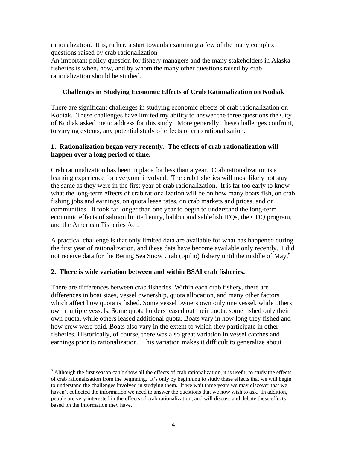rationalization. It is, rather, a start towards examining a few of the many complex questions raised by crab rationalization

An important policy question for fishery managers and the many stakeholders in Alaska fisheries is when, how, and by whom the many other questions raised by crab rationalization should be studied.

### **Challenges in Studying Economic Effects of Crab Rationalization on Kodiak**

There are significant challenges in studying economic effects of crab rationalization on Kodiak. These challenges have limited my ability to answer the three questions the City of Kodiak asked me to address for this study. More generally, these challenges confront, to varying extents, any potential study of effects of crab rationalization.

### **1. Rationalization began very recently**. **The effects of crab rationalization will happen over a long period of time.**

Crab rationalization has been in place for less than a year. Crab rationalization is a learning experience for everyone involved. The crab fisheries will most likely not stay the same as they were in the first year of crab rationalization. It is far too early to know what the long-term effects of crab rationalization will be on how many boats fish, on crab fishing jobs and earnings, on quota lease rates, on crab markets and prices, and on communities. It took far longer than one year to begin to understand the long-term economic effects of salmon limited entry, halibut and sablefish IFQs, the CDQ program, and the American Fisheries Act.

A practical challenge is that only limited data are available for what has happened during the first year of rationalization, and these data have become available only recently. I did not receive data for the Bering Sea Snow Crab (opilio) fishery until the middle of May.<sup>6</sup>

### **2. There is wide variation between and within BSAI crab fisheries.**

1

There are differences between crab fisheries. Within each crab fishery, there are differences in boat sizes, vessel ownership, quota allocation, and many other factors which affect how quota is fished. Some vessel owners own only one vessel, while others own multiple vessels. Some quota holders leased out their quota, some fished only their own quota, while others leased additional quota. Boats vary in how long they fished and how crew were paid. Boats also vary in the extent to which they participate in other fisheries. Historically, of course, there was also great variation in vessel catches and earnings prior to rationalization. This variation makes it difficult to generalize about

 $6$  Although the first season can't show all the effects of crab rationalization, it is useful to study the effects of crab rationalization from the beginning. It's only by beginning to study these effects that we will begin to understand the challenges involved in studying them. If we wait three years we may discover that we haven't collected the information we need to answer the questions that we now wish to ask. In addition, people are very interested in the effects of crab rationalization, and will discuss and debate these effects based on the information they have.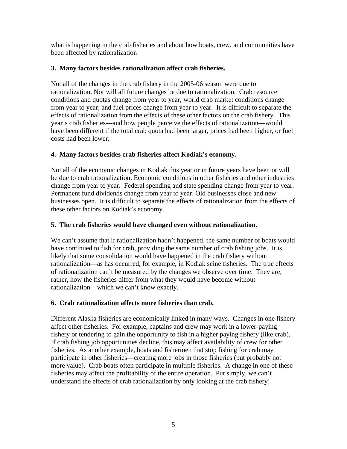what is happening in the crab fisheries and about how boats, crew, and communities have been affected by rationalization

# **3. Many factors besides rationalization affect crab fisheries.**

Not all of the changes in the crab fishery in the 2005-06 season were due to rationalization. Nor will all future changes be due to rationalization. Crab resource conditions and quotas change from year to year; world crab market conditions change from year to year; and fuel prices change from year to year. It is difficult to separate the effects of rationalization from the effects of these other factors on the crab fishery. This year's crab fisheries—and how people perceive the effects of rationalization—would have been different if the total crab quota had been larger, prices had been higher, or fuel costs had been lower.

# **4. Many factors besides crab fisheries affect Kodiak's economy.**

Not all of the economic changes in Kodiak this year or in future years have been or will be due to crab rationalization. Economic conditions in other fisheries and other industries change from year to year. Federal spending and state spending change from year to year. Permanent fund dividends change from year to year. Old businesses close and new businesses open. It is difficult to separate the effects of rationalization from the effects of these other factors on Kodiak's economy.

# **5. The crab fisheries would have changed even without rationalization.**

We can't assume that if rationalization hadn't happened, the same number of boats would have continued to fish for crab, providing the same number of crab fishing jobs. It is likely that some consolidation would have happened in the crab fishery without rationalization—as has occurred, for example, in Kodiak seine fisheries. The true effects of rationalization can't be measured by the changes we observe over time. They are, rather, how the fisheries differ from what they would have become without rationalization—which we can't know exactly.

## **6. Crab rationalization affects more fisheries than crab.**

Different Alaska fisheries are economically linked in many ways. Changes in one fishery affect other fisheries. For example, captains and crew may work in a lower-paying fishery or tendering to gain the opportunity to fish in a higher paying fishery (like crab). If crab fishing job opportunities decline, this may affect availability of crew for other fisheries. As another example, boats and fishermen that stop fishing for crab may participate in other fisheries—creating more jobs in those fisheries (but probably not more value). Crab boats often participate in multiple fisheries. A change in one of these fisheries may affect the profitability of the entire operation. Put simply, we can't understand the effects of crab rationalization by only looking at the crab fishery!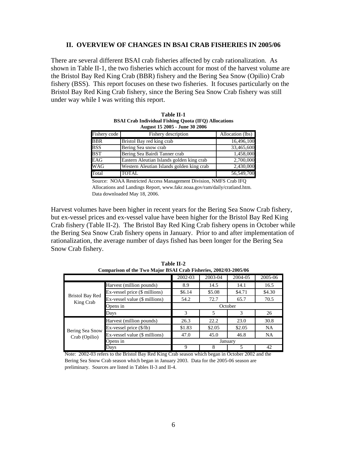### **II. OVERVIEW OF CHANGES IN BSAI CRAB FISHERIES IN 2005/06**

There are several different BSAI crab fisheries affected by crab rationalization. As shown in Table II-1, the two fisheries which account for most of the harvest volume are the Bristol Bay Red King Crab (BBR) fishery and the Bering Sea Snow (Opilio) Crab fishery (BSS). This report focuses on these two fisheries. It focuses particularly on the Bristol Bay Red King Crab fishery, since the Bering Sea Snow Crab fishery was still under way while I was writing this report.

| August 15 2005 - June 30 2006 |                                           |                  |  |  |  |
|-------------------------------|-------------------------------------------|------------------|--|--|--|
| Fishery code                  | Fishery description                       | Allocation (lbs) |  |  |  |
| <b>BBR</b>                    | Bristol Bay red king crab                 | 16,496,100       |  |  |  |
| <b>BSS</b>                    | Bering Sea snow crab                      | 33,465,600       |  |  |  |
| <b>BST</b>                    | Bering Sea Bairdi Tanner crab             | 1,458,000        |  |  |  |
| EAG                           | Eastern Aleutian Islands golden king crab | 2,700,000        |  |  |  |
| <b>WAG</b>                    | Western Aleutian Islands golden king crab | 2,430,000        |  |  |  |
| Total                         | <b>TOTAL</b>                              | 56,549,700       |  |  |  |

**Table II-1** 

**BSAI Crab Individual Fishing Quota (IFQ) Allocations**

Source: NOAA Restricted Access Management Division, NMFS Crab IFQ Allocations and Landings Report, www.fakr.noaa.gov/ram/daily/cratland.htm. Data downloaded May 18, 2006.

Harvest volumes have been higher in recent years for the Bering Sea Snow Crab fishery, but ex-vessel prices and ex-vessel value have been higher for the Bristol Bay Red King Crab fishery (Table II-2). The Bristol Bay Red King Crab fishery opens in October while the Bering Sea Snow Crab fishery opens in January. Prior to and after implementation of rationalization, the average number of days fished has been longer for the Bering Sea Snow Crab fishery.

| Comparison of the Two Major BSAI Crab Fisheries, 2002/03-2005/06 |                                     |         |         |         |           |
|------------------------------------------------------------------|-------------------------------------|---------|---------|---------|-----------|
|                                                                  |                                     | 2002-03 | 2003-04 | 2004-05 | 2005-06   |
|                                                                  | Harvest (million pounds)            | 8.9     | 14.5    | 14.1    | 16.5      |
|                                                                  | Ex-vessel price (\$ millions)       | \$6.14  | \$5.08  | \$4.71  | \$4.30    |
| <b>Bristol Bay Red</b><br>King Crab                              | Ex-vessel value (\$ millions)       | 54.2    | 72.7    | 65.7    | 70.5      |
|                                                                  | Opens in                            |         |         | October |           |
|                                                                  | Days                                | 3       | 5       | 3       | 26        |
|                                                                  | Harvest (million pounds)            | 26.3    | 22.2    | 23.0    | 30.8      |
| Bering Sea Snow                                                  | $Ex$ -vessel price $(\frac{5}{lb})$ | \$1.83  | \$2.05  | \$2.05  | <b>NA</b> |
| Crab (Opilio)                                                    | Ex-vessel value (\$ millions)       | 47.0    | 45.0    | 46.8    | <b>NA</b> |
|                                                                  | Opens in                            |         |         | January |           |
|                                                                  | Days                                | 9       |         | 5       | 42        |

**Table II-2**   $C = \frac{1}{2}$  **Comparison of the Two Major BSAI Crab Fisheries**, 2002/03-2005/06

Note: 2002-03 refers to the Bristol Bay Red King Crab season which began in October 2002 and the Bering Sea Snow Crab season which began in January 2003. Data for the 2005-06 season are preliminary. Sources are listed in Tables II-3 and II-4.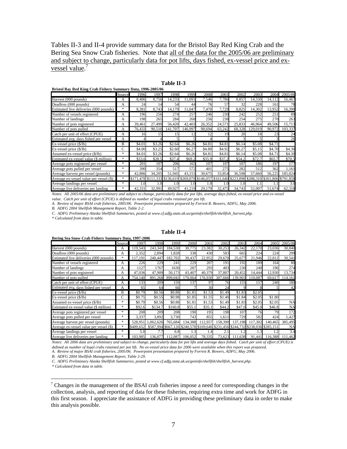Tables II-3 and II-4 provide summary data for the Bristol Bay Red King Crab and the Bering Sea Snow Crab fisheries. Note that all of the data for the 2005/06 are preliminary and subject to change, particularly data for pot lifts, days fished, ex-vessel price and exvessel value.<sup>7</sup>

|                                         | Source        | 1996   | 1997   | 1998      | 1999    | 2000      | 2001       | 2002      | 2003      | 2004          | 2005/06       |
|-----------------------------------------|---------------|--------|--------|-----------|---------|-----------|------------|-----------|-----------|---------------|---------------|
| Harvest (000 pounds)                    | A             | 8,406  | 8.756  | 14.233    | 11.091  | 7,546     | 7,786      | 8.857     | 14.530    | 14,112        | 16,467        |
| Deadloss (000 pounds)                   | A             | 24     | 14     | 54        | 44      | 76        | 57         | 32        | 228       | 161           | 78            |
| Estimated live deliveries (000 pounds)  | $\ast$        | 8,381  | 8,743  | 14,179    | 11,047  | 7,470     | 7,729      | 8,825     | 14,302    | 13,952        | 16,390        |
| Number of vessels registered            | A             | 196    | 256    | 274       | 257     | 246       | 230        | 242       | 252       | 251           | 89            |
| Number of landings                      | A             | 198    | 265    | 284       | 268     | 256       | 238        | 254       | 275       | 270           | 263           |
| Number of pots registered               | А             | 39,461 | 27.499 | 56.420    | 42,403  | 26,352    | 24,571     | 25.833    | 46.964    | 49,506        | 15,713        |
| Number of pots pulled                   | А             | 76.433 | 90.510 | 141.707   | 146.997 | 98.694    | 63.242     | 68.328    | 129,019   | 90.972        | 103,337       |
| Catch per unit of effort (CPUE)         | A             | 16     | 15     | 15        | 12      | 12        | 19         | 20        | 18        | 23            | 24            |
| Estimated avg. days fished per vessel   | А             |        |        |           |         |           |            |           |           |               | 26            |
| $Ex$ -vessel price $(\frac{6}{16})$     | B             | \$4.01 | \$3.26 | \$2.64    | \$6.26  | \$4.81    | \$4.81     | \$6.14    | \$5.08    | \$4.71        |               |
| $Ex$ -vessel price $(\frac{6}{16})$     | Ċ             | \$4.00 | \$3.25 | \$2.60    | \$6.27  | \$4.80    | \$4.92     | \$6.27    | \$5.15    | \$4.70        | \$4.30        |
| Assumed ex-vessel price (\$/lb)         | $\frac{1}{2}$ | \$4.01 | \$3.26 | \$2.64    | \$6.26  | \$4.81    | \$4.81     | \$6.14    | \$5.08    | \$4.71        | \$4.30        |
| Estimated ex-vessel value (\$ million)  | $\frac{1}{2}$ | \$33.6 | \$28.5 | \$37.4    | \$69.2  | \$35.9    | \$37.2     | \$54.2    | \$72.7    | \$65.7        | \$70.5        |
| Average pots registered per vessel      | *             | 201    | 107    | 206       | 165     | 107       | 107        | 107       | 186       | 197           | 177           |
| Average pots pulled per vessel          | *             | 390    | 354    | 517       | 572     | 401       | 275        | 282       | 512       | 362           | 1,161         |
| Average harvest per vessel (pounds)     | $\frac{1}{2}$ | 42.886 | 34.205 | 51.945    | 43.155  | 30.675    | 33.854     | 36.598    | 57.660    | 56.225        | 185,024       |
| Average ex-vessel value per vessel (\$) | $\ast$        | .478   | 333    | \$136,619 | \$269   | \$146,057 | .640<br>61 | \$223.898 | \$288.310 | \$261<br>.806 | \$791<br>.858 |
| Average landings per vessel             | $\frac{1}{2}$ | 1.0    | 1.0    | 1.0       | 1.0     | 1.0       | 1.0        | 1.0       |           |               | 3.0           |
| Average live deliveries per landing     | $\frac{1}{2}$ | 42.331 | 32.991 | 49,927    | 41.219  | 29,179    | 32,475     | 34.743    | 52,007    | 51.674        | 62.318        |

#### **Table II-3 Bristol Bay Red King Crab Fishery Summary Data, 1996-2005/06**

*Notes: All 2005/06 data are preliminary and subject to change, particularly data for pot lifts, average days fished, ex-vessel price and ex-vessel value. Catch per unit of effort (CPUE) is defined as number of legal crabs retained per pot lift.*

*A. Review of major BSAI crab fisheries, 2005/06. Powerpoint presentation prepared by Forrest R. Bowers, ADFG, May 2006. B. ADFG 2004 Shellfish Management Report, Table 2-2.*

*C. ADFG Preliminary Alaska Shellfish Summaries, posted at www.cf.adfg.state.ak.us/geninfo/shellfsh/shellfish\_harvest.php.*

*\* Calculated from data in table.*

| Bering Sea Snow Crab Fishery Summary Data, 1997-2006 |        |           |              |                   |                     |         |             |             |            |           |           |
|------------------------------------------------------|--------|-----------|--------------|-------------------|---------------------|---------|-------------|-------------|------------|-----------|-----------|
|                                                      | Source | 1997      | 1998         | 1999              | 2000                | 2001    | 2002        | 2003        | 2004       | 2005      | 2005/06   |
| Harvest (000 pounds)                                 | A      | 119.543   | 243.341      | 184.530           | 30.775              | 23.382  | 30,253      | 26.342      | 22.170     | 23.036    | 30,840    |
| Deadloss (000 pounds)                                | А      | 2,352     | 2.894        | 1.828             | 338                 | 430     | 583         | 665         | 224        | 224       | 299       |
| Estimated live deliveries (000 pounds)               | *      | 17.191    | 240,447      | 182.702           | 30,437              | 22.952  | 29,670      | 25.677      | ,946<br>21 | 22,812    | 30,541    |
| Number of vessels registered                         | А      | 226       | 229          | 241               | 229                 | 207     | 191         | 192         | 189        | 164       | 80        |
| Number of landings                                   | А      | 1127      | 1767         | 1630              | 287                 | 293     | 403         | 230         | 240        | 196       | 274       |
| Number of pots registered                            | А      | 47,036    | 47.909       | 50.173            | 43.407              | 40.379  | 37,807      | 20.452      | 14,444     | 12,930    | 13,734    |
| Number of pots pulled                                | Α      | 754.140   | 891.<br>.268 | 899,043           | 70.064              | 176.930 | 307<br>.666 | 139,903     | 110.087    | 69.617    | 114,161   |
| Catch per unit of effort (CPUE)                      | А      | 133       | 209          | 159               | 137                 | 97      | 76          | 155         | 157        | 240       | 180       |
| Estimated avg. days fished per vessel                | А      | 65        | 64           | 66                |                     | 30      | 24          | $\mathbf Q$ |            |           | 42        |
| $Ex$ -vessel price $(\frac{6}{16})$                  | В      | \$0.79    | \$0.56       | \$0.88            | \$1.81              | \$1.53  | \$1.49      | \$1.83      | \$2.05     |           |           |
| $Ex$ -vessel price $(\frac{6}{16})$                  | C      | \$0.75    | \$0.55       | \$0.98            | \$1.85              | \$1.55  | \$1.40      | \$1.84      | \$2.05     | \$1.80    |           |
| Assumed ex-vessel price (\$/lb)                      | *      | \$0.79    | \$0.56       | \$0.88            | \$1.81              | \$1.53  | \$1.49      | \$1.83      | \$2.05     | \$2.05    | <b>NA</b> |
| Estimated ex-vessel value (\$ million)               | *.     | \$92.6    | \$134.7      | \$160.8           | \$55.1              | \$35.1  | \$44.2      | \$47.0      | \$45.0     | \$46.8    | <b>NA</b> |
| Average pots registered per vessel                   | *      | 208       | 209          | 208               | 190                 | 195     | 198         | 107         | 76         | 79        | 172       |
| Average pots pulled per vessel                       | *      | 3.337     | 3,892        | 3.730             | 743                 | 855     | 1.611       | 729         | 582        | 424       | 1,427     |
| Average harvest per vessel (pounds)                  | $*$    | 528.951   | .062.626     | 765,684           | 134,388             | 112,957 | 158,390     | 137.198     | 117.302    | 140,465   | 385,495   |
| Average ex-vessel value per vessel (\$)              | *      | \$409.652 | \$587        | .994 \$667<br>126 | \$240,570 \$169,646 |         | \$231,456   | \$244.732   | \$238,036  | \$285.151 | <b>NA</b> |
| Average landings per vessel                          | *      | 5.0       | 7.7          | 6.8               | 1.3                 | 1.4     | 2.1         |             | 1.3        |           | 3.4       |
| Average live deliveries per landing                  | *      | 103,985   | 136,077      | 112,087           | 106,052             | 78,335  | 73,623      | 111,638     | 91,441     | 116,388   | 111,462   |

#### **Table II-4**

*Notes: All 2006 data are preliminary and subject to change, particularly data for pot lifts and average days fished. Catch per unit of effort (CPUE) is defined as number of legal crabs retained per pot lift. No ex-vessel price data for 2006 were available when this report was prepared. A. Review of major BSAI crab fisheries, 2005/06. Powerpoint presentation prepared by Forrest R. Bowers, ADFG, May 2006.* 

*B. ADFG 2004 Shellfish Management Report, Table 2-29.*

*C. ADFG Preliminary Alaska Shellfish Summaries, posted at www.cf.adfg.state.ak.us/geninfo/shellfsh/shellfish\_harvest.php.*

*\* Calculated from data in table.*

<u>.</u>

 $<sup>7</sup>$  Changes in the management of the BSAI crab fisheries impose a need for corresponding changes in the</sup> collection, analysis, and reporting of data for these fisheries, requiring extra time and work for ADFG in this first season. I appreciate the assistance of ADFG in providing these preliminary data in order to make this analysis possible.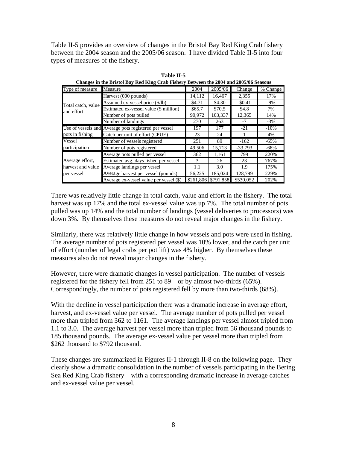Table II-5 provides an overview of changes in the Bristol Bay Red King Crab fishery between the 2004 season and the 2005/06 season. I have divided Table II-5 into four types of measures of the fishery.

|                    | Changes in the Dristor Day Teen King Crub I fonery Decirecti the 2004 and 2006/00 Seasons |           |           |           |          |
|--------------------|-------------------------------------------------------------------------------------------|-----------|-----------|-----------|----------|
| Type of measure    | Measure                                                                                   | 2004      | 2005/06   | Change    | % Change |
|                    | Harvest (000 pounds)                                                                      | 14,112    | 16,467    | 2,355     | 17%      |
| Total catch, value | Assumed ex-vessel price (\$/lb)                                                           | \$4.71    | \$4.30    | $-$0.41$  | $-9\%$   |
| and effort         | Estimated ex-vessel value (\$ million)                                                    | \$65.7    | \$70.5    | \$4.8     | 7%       |
|                    | Number of pots pulled                                                                     | 90,972    | 103.337   | 12.365    | 14%      |
|                    | Number of landings                                                                        | 270       | 263       | -7        | $-3\%$   |
|                    | Use of vessels and Average pots registered per vessel                                     | 197       | 177       | $-21$     | $-10\%$  |
| pots in fishing    | Catch per unit of effort (CPUE)                                                           | 23        | 24        |           | 4%       |
| Vessel             | Number of vessels registered                                                              | 251       | 89        | $-162$    | $-65%$   |
| participation      | Number of pots registered                                                                 | 49.506    | 15,713    | $-33.793$ | $-68%$   |
|                    | Average pots pulled per vessel                                                            | 362       | 1,161     | 799       | 220%     |
| Average effort,    | Estimated avg. days fished per vessel                                                     | 3         | 26        | 23        | 767%     |
| harvest and value  | Average landings per vessel                                                               | 1.1       | 3.0       | 1.9       | 175%     |
| per vessel         | Average harvest per vessel (pounds)                                                       | 56,225    | 185,024   | 128.799   | 229%     |
|                    | Average ex-vessel value per vessel (\$)                                                   | \$261,806 | \$791.858 | \$530.052 | 202%     |

**Table II-5 Changes in the Bristol Bay Red King Crab Fishery Between the 2004 and 2005/06 Seasons**

There was relatively little change in total catch, value and effort in the fishery. The total harvest was up 17% and the total ex-vessel value was up 7%. The total number of pots pulled was up 14% and the total number of landings (vessel deliveries to processors) was down 3%. By themselves these measures do not reveal major changes in the fishery.

Similarly, there was relatively little change in how vessels and pots were used in fishing. The average number of pots registered per vessel was 10% lower, and the catch per unit of effort (number of legal crabs per pot lift) was 4% higher. By themselves these measures also do not reveal major changes in the fishery.

However, there were dramatic changes in vessel participation. The number of vessels registered for the fishery fell from 251 to 89—or by almost two-thirds (65%). Correspondingly, the number of pots registered fell by more than two-thirds (68%).

With the decline in vessel participation there was a dramatic increase in average effort, harvest, and ex-vessel value per vessel. The average number of pots pulled per vessel more than tripled from 362 to 1161. The average landings per vessel almost tripled from 1.1 to 3.0. The average harvest per vessel more than tripled from 56 thousand pounds to 185 thousand pounds. The average ex-vessel value per vessel more than tripled from \$262 thousand to \$792 thousand.

These changes are summarized in Figures II-1 through II-8 on the following page. They clearly show a dramatic consolidation in the number of vessels participating in the Bering Sea Red King Crab fishery—with a corresponding dramatic increase in average catches and ex-vessel value per vessel.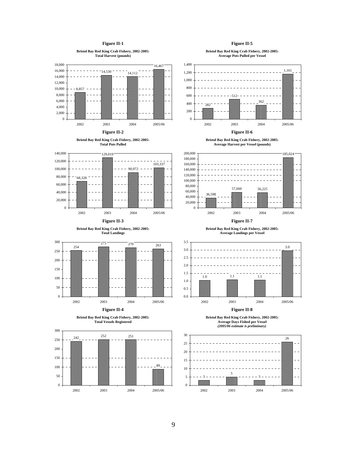### **Figure II-1**

**Bristol Bay Red King Crab Fishery, 2002-2005: Total Harvest (pounds)**



















### **Figure II-5**

**Bristol Bay Red King Crab Fishery, 2002-2005: Average Pots Pulled per Vessel**



**Figure II-6** 





**Figure II-7** 

**Bristol Bay Red King Crab Fishery, 2002-2005: Average Landings per Vessel**



**Figure II-8** 

**Bristol Bay Red King Crab Fishery, 2002-2005: Average Days Fished per Vessel** *(2005/06 estimate is preliminary)*

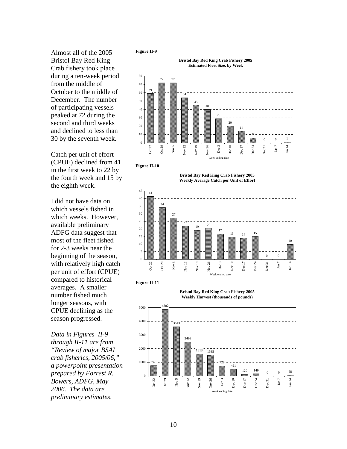Almost all of the 2005 Bristol Bay Red King Crab fishery took place during a ten-week period from the middle of October to the middle of December. The number of participating vessels peaked at 72 during the second and third weeks and declined to less than 30 by the seventh week.

Catch per unit of effort (CPUE) declined from 41 in the first week to 22 by the fourth week and 15 by the eighth week.

I did not have data on which vessels fished in which weeks. However, available preliminary ADFG data suggest that most of the fleet fished for 2-3 weeks near the beginning of the season, with relatively high catch per unit of effort (CPUE) compared to historical averages. A smaller number fished much longer seasons, with CPUE declining as the season progressed.

*Data in Figures II-9 through II-11 are from "Review of major BSAI crab fisheries, 2005/06," a powerpoint presentation prepared by Forrest R. Bowers, ADFG, May 2006. The data are preliminary estimates*.





**Figure II-10** 

**Bristol Bay Red King Crab Fishery 2005 Weekly Average Catch per Unit of Effort**





5000



**Bristol Bay Red King Crab Fishery 2005 Weekly Harvest (thousands of pounds)**

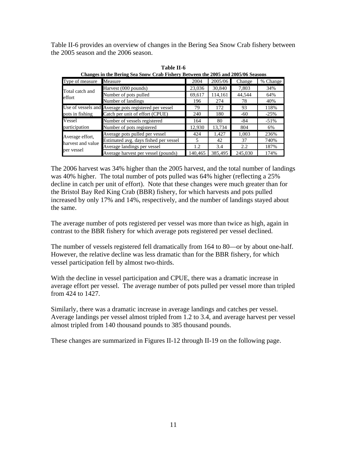Table II-6 provides an overview of changes in the Bering Sea Snow Crab fishery between the 2005 season and the 2006 season.

| Changes in the Dering Sea Show Crab Fishery Detween the 2009 and 2009/00 Seasons |                                                       |         |         |         |          |
|----------------------------------------------------------------------------------|-------------------------------------------------------|---------|---------|---------|----------|
| Type of measure                                                                  | Measure                                               | 2004    | 2005/06 | Change  | % Change |
| Harvest (000 pounds)<br>Total catch and                                          |                                                       | 23,036  | 30,840  | 7,803   | 34%      |
| effort                                                                           | Number of pots pulled                                 | 69,617  | 114,161 | 44,544  | 64%      |
|                                                                                  | Number of landings                                    | 196     | 274     | 78      | 40%      |
|                                                                                  | Use of vessels and Average pots registered per vessel | 79      | 172     | 93      | 118%     |
| pots in fishing                                                                  | Catch per unit of effort (CPUE)                       |         | 180     | $-60$   | $-25%$   |
| Vessel                                                                           | Number of vessels registered                          | 164     | 80      | -84     | $-51%$   |
| participation                                                                    | Number of pots registered                             | 12,930  | 13,734  | 804     | 6%       |
| Average effort,                                                                  | Average pots pulled per vessel                        | 424     | 1,427   | 1.003   | 236%     |
| harvest and value                                                                | Estimated avg. days fished per vessel                 | 5       | 42      | 37      | 740%     |
|                                                                                  | Average landings per vessel                           | 1.2     | 3.4     | 2.2     | 187%     |
| per vessel                                                                       | Average harvest per vessel (pounds)                   | 140.465 | 385,495 | 245,030 | 174%     |

**Table II-6 Changes in the Bering Sea Snow Crab Fishery Between the 2005 and 2005/06 Seasons**

The 2006 harvest was 34% higher than the 2005 harvest, and the total number of landings was 40% higher. The total number of pots pulled was 64% higher (reflecting a 25% decline in catch per unit of effort). Note that these changes were much greater than for the Bristol Bay Red King Crab (BBR) fishery, for which harvests and pots pulled increased by only 17% and 14%, respectively, and the number of landings stayed about the same.

The average number of pots registered per vessel was more than twice as high, again in contrast to the BBR fishery for which average pots registered per vessel declined.

The number of vessels registered fell dramatically from 164 to 80—or by about one-half. However, the relative decline was less dramatic than for the BBR fishery, for which vessel participation fell by almost two-thirds.

With the decline in vessel participation and CPUE, there was a dramatic increase in average effort per vessel. The average number of pots pulled per vessel more than tripled from 424 to 1427.

Similarly, there was a dramatic increase in average landings and catches per vessel. Average landings per vessel almost tripled from 1.2 to 3.4, and average harvest per vessel almost tripled from 140 thousand pounds to 385 thousand pounds.

These changes are summarized in Figures II-12 through II-19 on the following page.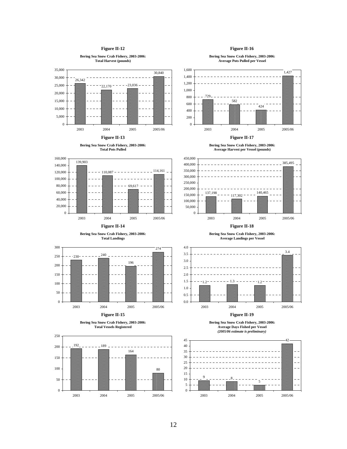#### **Figure II-12**



## 12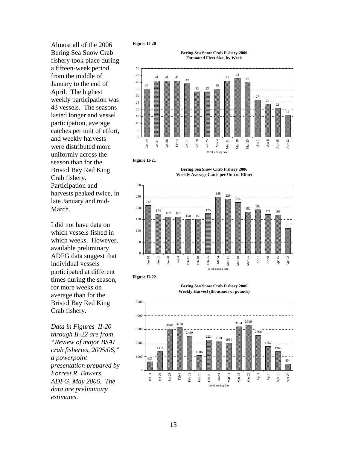Almost all of the 2006 Bering Sea Snow Crab fishery took place during a fifteen-week period from the middle of January to the end of April. The highest weekly participation was 43 vessels. The seasons lasted longer and vessel participation, average catches per unit of effort, and weekly harvests were distributed more uniformly across the season than for the Bristol Bay Red King Crab fishery. Participation and harvests peaked twice, in late January and mid-March.

I did not have data on which vessels fished in which weeks. However, available preliminary ADFG data suggest that individual vessels participated at different times during the season, for more weeks on average than for the Bristol Bay Red King Crab fishery.

*Data in Figures II-20 through II-22 are from "Review of major BSAI crab fisheries, 2005/06," a powerpoint presentation prepared by Forrest R. Bowers, ADFG, May 2006. The data are preliminary estimates*.









**Bering Sea Snow Crab Fishery 2006 Weekly Average Catch per Unit of Effort**



**Figure II-22** 

5000





**Bering Sea Snow Crab Fishery 2006**

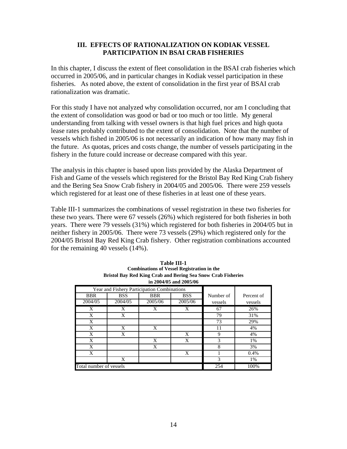### **III. EFFECTS OF RATIONALIZATION ON KODIAK VESSEL PARTICIPATION IN BSAI CRAB FISHERIES**

In this chapter, I discuss the extent of fleet consolidation in the BSAI crab fisheries which occurred in 2005/06, and in particular changes in Kodiak vessel participation in these fisheries. As noted above, the extent of consolidation in the first year of BSAI crab rationalization was dramatic.

For this study I have not analyzed why consolidation occurred, nor am I concluding that the extent of consolidation was good or bad or too much or too little. My general understanding from talking with vessel owners is that high fuel prices and high quota lease rates probably contributed to the extent of consolidation. Note that the number of vessels which fished in 2005/06 is not necessarily an indication of how many may fish in the future. As quotas, prices and costs change, the number of vessels participating in the fishery in the future could increase or decrease compared with this year.

The analysis in this chapter is based upon lists provided by the Alaska Department of Fish and Game of the vessels which registered for the Bristol Bay Red King Crab fishery and the Bering Sea Snow Crab fishery in 2004/05 and 2005/06. There were 259 vessels which registered for at least one of these fisheries in at least one of these years.

Table III-1 summarizes the combinations of vessel registration in these two fisheries for these two years. There were 67 vessels (26%) which registered for both fisheries in both years. There were 79 vessels (31%) which registered for both fisheries in 2004/05 but in neither fishery in 2005/06. There were 73 vessels (29%) which registered only for the 2004/05 Bristol Bay Red King Crab fishery. Other registration combinations accounted for the remaining 40 vessels (14%).

| in $2004/05$ and $2005/06$ |                                             |            |            |           |            |  |  |
|----------------------------|---------------------------------------------|------------|------------|-----------|------------|--|--|
|                            | Year and Fishery Participation Combinations |            |            |           |            |  |  |
| <b>BBR</b>                 | <b>BSS</b>                                  | <b>BBR</b> | <b>BSS</b> | Number of | Percent of |  |  |
| 2004/05                    | 2004/05                                     | 2005/06    | 2005/06    | vessels   | vessels    |  |  |
| X                          | X                                           | X          | X          | 67        | 26%        |  |  |
| X                          | X                                           |            |            | 79        | 31%        |  |  |
| X                          |                                             |            |            | 73        | 29%        |  |  |
| X                          | X                                           | X          |            | 11        | 4%         |  |  |
| X                          | X                                           |            | X          | 9         | 4%         |  |  |
| X                          |                                             | X          | X          | 3         | 1%         |  |  |
| X                          |                                             | X          |            | 8         | 3%         |  |  |
| X                          |                                             |            | X          |           | 0.4%       |  |  |
|                            | X                                           |            |            | 3         | 1%         |  |  |
| Total number of vessels    |                                             |            |            | 254       | 100%       |  |  |

**Table III-1 Combinations of Vessel Registration in the Bristol Bay Red King Crab and Bering Sea Snow Crab Fisheries in 2004/05 and 2005/06**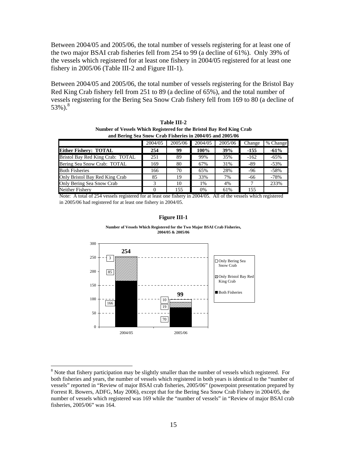Between 2004/05 and 2005/06, the total number of vessels registering for at least one of the two major BSAI crab fisheries fell from 254 to 99 (a decline of 61%). Only 39% of the vessels which registered for at least one fishery in 2004/05 registered for at least one fishery in 2005/06 (Table III-2 and Figure III-1).

Between 2004/05 and 2005/06, the total number of vessels registering for the Bristol Bay Red King Crab fishery fell from 251 to 89 (a decline of 65%), and the total number of vessels registering for the Bering Sea Snow Crab fishery fell from 169 to 80 (a decline of 53%). $^{8}$ 

| Table III-2                                                          |
|----------------------------------------------------------------------|
| Number of Vessels Which Registered for the Bristol Bay Red King Crab |
| and Bering Sea Snow Crab Fisheries in 2004/05 and 2005/06            |

|                                  | 2004/05 | 2005/06 | 2004/05 | 2005/06 | Change | % Change |
|----------------------------------|---------|---------|---------|---------|--------|----------|
| <b>Either Fishery: TOTAL</b>     | 254     | 99      | 100%    | 39%     | $-155$ | $-61%$   |
| Bristol Bay Red King Crab: TOTAL | 251     | 89      | 99%     | 35%     | $-162$ | $-65%$   |
| Bering Sea Snow Crab: TOTAL      | 169     | 80      | 67%     | 31%     | -89    | $-53%$   |
| <b>Both Fisheries</b>            | 166     | 70      | 65%     | 28%     | -96    | $-58%$   |
| Only Bristol Bay Red King Crab   | 85      | 19      | 33%     | 7%      | -66    | $-78%$   |
| Only Bering Sea Snow Crab        |         | 10      | 1%      | 4%      |        | 233%     |
| Neither Fishery                  |         | 155     | $0\%$   | 61%     | 155    |          |

Note: A total of 254 vessels registered for at least one fishery in 2004/05. All of the vessels which registered in 2005/06 had registered for at least one fishery in 2004/05.

### **Figure III-1**



**Number of Vessels Which Registered for the Two Major BSAI Crab Fisheries, 2004/05 & 2005/06**

1

<sup>&</sup>lt;sup>8</sup> Note that fishery participation may be slightly smaller than the number of vessels which registered. For both fisheries and years, the number of vessels which registered in both years is identical to the "number of vessels" reported in "Review of major BSAI crab fisheries, 2005/06" (powerpoint presentation prepared by Forrest R. Bowers, ADFG, May 2006), except that for the Bering Sea Snow Crab Fishery in 2004/05, the number of vessels which registered was 169 while the "number of vessels" in "Review of major BSAI crab fisheries, 2005/06" was 164.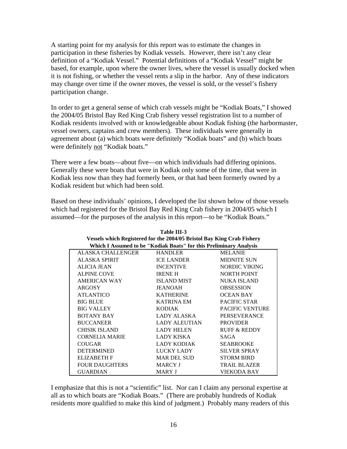A starting point for my analysis for this report was to estimate the changes in participation in these fisheries by Kodiak vessels. However, there isn't any clear definition of a "Kodiak Vessel." Potential definitions of a "Kodiak Vessel" might be based, for example, upon where the owner lives, where the vessel is usually docked when it is not fishing, or whether the vessel rents a slip in the harbor. Any of these indicators may change over time if the owner moves, the vessel is sold, or the vessel's fishery participation change.

In order to get a general sense of which crab vessels might be "Kodiak Boats," I showed the 2004/05 Bristol Bay Red King Crab fishery vessel registration list to a number of Kodiak residents involved with or knowledgeable about Kodiak fishing (the harbormaster, vessel owners, captains and crew members). These individuals were generally in agreement about (a) which boats were definitely "Kodiak boats" and (b) which boats were definitely not "Kodiak boats."

There were a few boats—about five—on which individuals had differing opinions. Generally these were boats that were in Kodiak only some of the time, that were in Kodiak less now than they had formerly been, or that had been formerly owned by a Kodiak resident but which had been sold.

Based on these individuals' opinions, I developed the list shown below of those vessels which had registered for the Bristol Bay Red King Crab fishery in 2004/05 which I assumed—for the purposes of the analysis in this report—to be "Kodiak Boats."

**Table III-3** 

| Table III-3                                                            |                      |                         |  |  |  |  |  |  |
|------------------------------------------------------------------------|----------------------|-------------------------|--|--|--|--|--|--|
| Vessels which Registered for the 2004/05 Bristol Bay King Crab Fishery |                      |                         |  |  |  |  |  |  |
| Which I Assumed to be "Kodiak Boats" for this Preliminary Analysis     |                      |                         |  |  |  |  |  |  |
| ALASKA CHALLENGER                                                      | <b>HANDLER</b>       | <b>MELANIE</b>          |  |  |  |  |  |  |
| <b>ALASKA SPIRIT</b>                                                   | <b>ICE LANDER</b>    | <b>MIDNITE SUN</b>      |  |  |  |  |  |  |
| <b>ALICIA JEAN</b>                                                     | <b>INCENTIVE</b>     | NORDIC VIKING           |  |  |  |  |  |  |
| <b>ALPINE COVE</b>                                                     | <b>IRENE H</b>       | <b>NORTH POINT</b>      |  |  |  |  |  |  |
| <b>AMERICAN WAY</b>                                                    | <b>ISLAND MIST</b>   | <b>NUKA ISLAND</b>      |  |  |  |  |  |  |
| ARGOSY                                                                 | <b>JEANOAH</b>       | <b>OBSESSION</b>        |  |  |  |  |  |  |
| <b>ATLANTICO</b>                                                       | <b>KATHERINE</b>     | <b>OCEAN BAY</b>        |  |  |  |  |  |  |
| <b>BIG BLUE</b>                                                        | <b>KATRINA EM</b>    | <b>PACIFIC STAR</b>     |  |  |  |  |  |  |
| <b>BIG VALLEY</b>                                                      | <b>KODIAK</b>        | <b>PACIFIC VENTURE</b>  |  |  |  |  |  |  |
| <b>BOTANY BAY</b>                                                      | LADY ALASKA          | <b>PERSEVERANCE</b>     |  |  |  |  |  |  |
| <b>BUCCANEER</b>                                                       | <b>LADY ALEUTIAN</b> | <b>PROVIDER</b>         |  |  |  |  |  |  |
| <b>CHISIK ISLAND</b>                                                   | <b>LADY HELEN</b>    | <b>RUFF &amp; REDDY</b> |  |  |  |  |  |  |
| <b>CORNELIA MARIE</b>                                                  | <b>LADY KISKA</b>    | SAGA                    |  |  |  |  |  |  |
| <b>COUGAR</b>                                                          | <b>LADY KODIAK</b>   | <b>SEABROOKE</b>        |  |  |  |  |  |  |
| <b>DETERMINED</b>                                                      | LUCKY LADY           | <b>SILVER SPRAY</b>     |  |  |  |  |  |  |
| <b>ELIZABETH F</b>                                                     | <b>MAR DEL SUD</b>   | <b>STORM BIRD</b>       |  |  |  |  |  |  |
| <b>FOUR DAUGHTERS</b>                                                  | <b>MARCY J</b>       | <b>TRAIL BLAZER</b>     |  |  |  |  |  |  |
| <b>GUARDIAN</b>                                                        | <b>MARY J</b>        | VIEKODA BAY             |  |  |  |  |  |  |

I emphasize that this is not a "scientific" list. Nor can I claim any personal expertise at all as to which boats are "Kodiak Boats." (There are probably hundreds of Kodiak residents more qualified to make this kind of judgment.) Probably many readers of this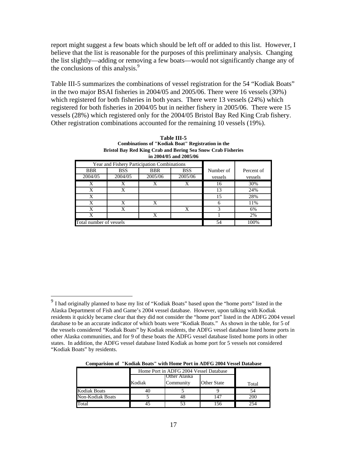report might suggest a few boats which should be left off or added to this list. However, I believe that the list is reasonable for the purposes of this preliminary analysis. Changing the list slightly—adding or removing a few boats—would not significantly change any of the conclusions of this analysis.<sup>9</sup>

Table III-5 summarizes the combinations of vessel registration for the 54 "Kodiak Boats" in the two major BSAI fisheries in 2004/05 and 2005/06. There were 16 vessels (30%) which registered for both fisheries in both years. There were 13 vessels (24%) which registered for both fisheries in 2004/05 but in neither fishery in 2005/06. There were 15 vessels (28%) which registered only for the 2004/05 Bristol Bay Red King Crab fishery. Other registration combinations accounted for the remaining 10 vessels (19%).

|                         |            |                                             | $\mu$ 2004/05 and 2005/06 |           |            |
|-------------------------|------------|---------------------------------------------|---------------------------|-----------|------------|
|                         |            | Year and Fishery Participation Combinations |                           |           |            |
| BBR                     | <b>BSS</b> | <b>BBR</b>                                  | <b>BSS</b>                | Number of | Percent of |
| 2004/05                 | 2004/05    | 2005/06                                     | 2005/06                   | vessels   | vessels    |
| X                       | X          | X                                           | X                         | 16        | 30%        |
| X                       | X          |                                             |                           | 13        | 24%        |
| X                       |            |                                             |                           | 15        | 28%        |
| X                       | X          | X                                           |                           | h         | 11%        |
| X                       | X          |                                             | X                         | 3         | 6%         |
| X                       |            | X                                           |                           |           | 2%         |
| Total number of vessels |            |                                             |                           | 54        | 100%       |

| Table III-5                                                  |
|--------------------------------------------------------------|
| Combinations of "Kodiak Boat" Registration in the            |
| Bristol Bay Red King Crab and Bering Sea Snow Crab Fisheries |
| in $2004/05$ and $2005/06$                                   |

 $\overline{a}$ 

|  |  | <b>Comparision of "Kodiak Boats" with Home Port in ADFG 2004 Vessel Database</b> |  |  |
|--|--|----------------------------------------------------------------------------------|--|--|
|--|--|----------------------------------------------------------------------------------|--|--|

|                     | Home Port in ADFG 2004 Vessel Database |              |                    |       |  |  |  |  |
|---------------------|----------------------------------------|--------------|--------------------|-------|--|--|--|--|
|                     |                                        | Other Alaska |                    |       |  |  |  |  |
|                     | Kodiak                                 | Community    | <b>Other State</b> | Total |  |  |  |  |
| <b>Kodiak Boats</b> | 40                                     |              |                    |       |  |  |  |  |
| Non-Kodiak Boats    |                                        |              |                    | 200   |  |  |  |  |
| Total               |                                        |              |                    | 254   |  |  |  |  |

<sup>&</sup>lt;sup>9</sup> I had originally planned to base my list of "Kodiak Boats" based upon the "home ports" listed in the Alaska Department of Fish and Game's 2004 vessel database. However, upon talking with Kodiak residents it quickly became clear that they did not consider the "home port" listed in the ADFG 2004 vessel database to be an accurate indicator of which boats were "Kodiak Boats." As shown in the table, for 5 of the vessels considered "Kodiak Boats" by Kodiak residents, the ADFG vessel database listed home ports in other Alaska communities, and for 9 of these boats the ADFG vessel database listed home ports in other states. In addition, the ADFG vessel database listed Kodiak as home port for 5 vessels not considered "Kodiak Boats" by residents.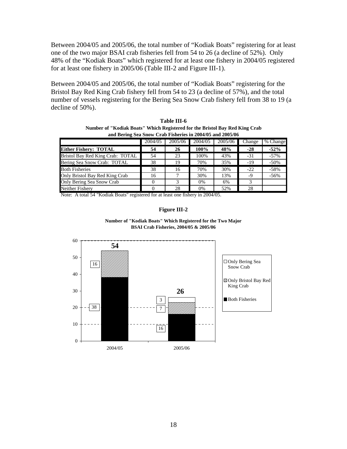Between 2004/05 and 2005/06, the total number of "Kodiak Boats" registering for at least one of the two major BSAI crab fisheries fell from 54 to 26 (a decline of 52%). Only 48% of the "Kodiak Boats" which registered for at least one fishery in 2004/05 registered for at least one fishery in 2005/06 (Table III-2 and Figure III-1).

Between 2004/05 and 2005/06, the total number of "Kodiak Boats" registering for the Bristol Bay Red King Crab fishery fell from 54 to 23 (a decline of 57%), and the total number of vessels registering for the Bering Sea Snow Crab fishery fell from 38 to 19 (a decline of 50%).

| Table III-6                                                                 |
|-----------------------------------------------------------------------------|
| Number of "Kodiak Boats" Which Registered for the Bristol Bay Red King Crab |
| and Bering Sea Snow Crab Fisheries in 2004/05 and 2005/06                   |

|                                  | 2004/05 | 2005/06 | 2004/05 | 2005/06 | Change | % Change |
|----------------------------------|---------|---------|---------|---------|--------|----------|
| <b>Either Fishery: TOTAL</b>     | 54      | 26      | 100%    | 48%     | $-28$  | $-52%$   |
| Bristol Bay Red King Crab: TOTAL | 54      | 23      | 100%    | 43%     | $-31$  | $-57\%$  |
| Bering Sea Snow Crab: TOTAL      | 38      | 19      | 70%     | 35%     | -19    | $-50%$   |
| <b>Both Fisheries</b>            | 38      | 16      | 70%     | 30%     | $-22$  | $-58%$   |
| Only Bristol Bay Red King Crab   | 16      |         | 30%     | 13%     | -9     | $-56%$   |
| Only Bering Sea Snow Crab        |         |         | 0%      | 6%      |        |          |
| Neither Fisherv                  |         | 28      | $0\%$   | 52%     | 28     |          |

Note: A total 54 "Kodiak Boats" registered for at least one fishery in 2004/05.

### **Figure III-2**



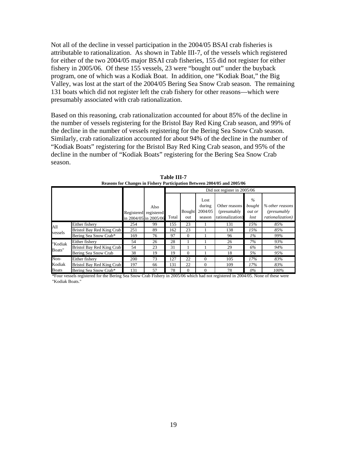Not all of the decline in vessel participation in the 2004/05 BSAI crab fisheries is attributable to rationalization. As shown in Table III-7, of the vessels which registered for either of the two 2004/05 major BSAI crab fisheries, 155 did not register for either fishery in 2005/06. Of these 155 vessels, 23 were "bought out" under the buyback program, one of which was a Kodiak Boat. In addition, one "Kodiak Boat," the Big Valley, was lost at the start of the 2004/05 Bering Sea Snow Crab season. The remaining 131 boats which did not register left the crab fishery for other reasons—which were presumably associated with crab rationalization.

Based on this reasoning, crab rationalization accounted for about 85% of the decline in the number of vessels registering for the Bristol Bay Red King Crab season, and 99% of the decline in the number of vessels registering for the Bering Sea Snow Crab season. Similarly, crab rationalization accounted for about 94% of the decline in the number of "Kodiak Boats" registering for the Bristol Bay Red King Crab season, and 95% of the decline in the number of "Kodiak Boats" registering for the Bering Sea Snow Crab season.

|              |                           |                       |      | Did not register in 2005/06 |          |          |                  |        |                  |
|--------------|---------------------------|-----------------------|------|-----------------------------|----------|----------|------------------|--------|------------------|
|              |                           |                       |      |                             |          | Lost     |                  | $\%$   |                  |
|              |                           |                       | Also |                             |          | during   | Other reasons    | bought | % other reasons  |
|              |                           | Registered registered |      |                             | Bought   | 2004/05  | (presumably)     | out or | (presumably)     |
|              |                           | in 2004/05 in 2005/06 |      | Total                       | out      | season   | rationalization) | lost   | rationalization) |
| All          | Either fishery            | 254                   | 99   | 155                         | 23       |          | 131              | 15%    | 85%              |
| vessels      | Bristol Bay Red King Crab | 251                   | 89   | 162                         | 23       |          | 138              | 15%    | 85%              |
|              | Bering Sea Snow Crab*     | 169                   | 76   | 97                          | $\Omega$ |          | 96               | $1\%$  | 99%              |
| "Kodiak      | Either fisherv            | 54                    | 26   | 28                          |          |          | 26               | 7%     | 93%              |
| Boats"       | Bristol Bay Red King Crab | 54                    | 23   | 31                          |          |          | 29               | 6%     | 94%              |
|              | Bering Sea Snow Crab      | 38                    | 19   | 19                          | $\Omega$ |          | 18               | 5%     | 95%              |
| Non-         | Either fishery            | 200                   | 73   | 127                         | 22       | $\Omega$ | 105              | 17%    | 83%              |
| Kodiak       | Bristol Bay Red King Crab | 197                   | 66   | 131                         | 22       | $\Omega$ | 109              | 17%    | 83%              |
| <b>Boats</b> | Bering Sea Snow Crab*     | 131                   | 57   | 78                          | $\Omega$ | $\Omega$ | 78               | $0\%$  | 100%             |

**Table III-7 Reasons for Changes in Fishery Participation Between 2004/05 and 2005/06**

\*Four vessels registered for the Bering Sea Snow Crab Fishery in 2005/06 which had not registered in 2004/05. None of these were "Kodiak Boats."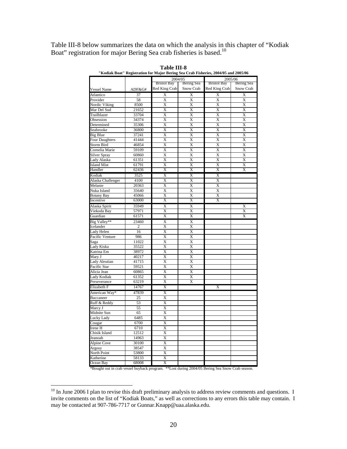Table III-8 below summarizes the data on which the analysis in this chapter of "Kodiak Boat" registration for major Bering Sea crab fisheries is based.<sup>10</sup>

|                       |                | NOURIK DORU REGISTRITON FOR MAJOR DEFING SER UPRO FISHEFIES, 2004/05 and 2005/06 |                         |                       |                       |
|-----------------------|----------------|----------------------------------------------------------------------------------|-------------------------|-----------------------|-----------------------|
|                       |                | 2004/05                                                                          |                         | 2005/06               |                       |
|                       |                | <b>Bristol Bay</b>                                                               | Bering Sea              | <b>Bristol Bay</b>    | Bering Sea            |
| <b>Vessel Name</b>    | ADF&G#         | Red King Crab                                                                    | Snow Crab               | Red King Crab         | Snow Crab             |
| Atlantico             | 37             | Χ                                                                                | X                       | X                     | Χ                     |
| Provider              | 58             | $\overline{\text{X}}$                                                            | $\overline{\text{X}}$   | $\overline{\text{X}}$ | X                     |
| Nordic Viking         | 8500           | $\overline{\text{X}}$                                                            | $\overline{X}$          | $\overline{X}$        | $\overline{\text{X}}$ |
| Mar Del Sud           | 21652          | $\overline{\text{X}}$                                                            | $\overline{\text{X}}$   | $\overline{\text{X}}$ | $\overline{\text{X}}$ |
| Trailblazer           | 33704          | X                                                                                | X                       | X                     | X                     |
| Obsession             | 34374          | X                                                                                | X                       | X                     | X                     |
| Determined            | 35306          | $\overline{\text{X}}$                                                            | $\overline{\text{X}}$   | $\overline{\text{X}}$ | $\overline{\text{X}}$ |
| Seabrooke             | 36800          | $\overline{\text{X}}$                                                            | $\overline{\text{X}}$   | $\overline{\text{X}}$ | X                     |
| Big Blue              | 37241          | $\overline{\text{X}}$                                                            | $\overline{\text{X}}$   | $\overline{\text{X}}$ | $\overline{\text{X}}$ |
| <b>Four Daughters</b> | 41444          | X                                                                                | X                       | X                     | X                     |
| <b>Storm Bird</b>     | 46854          | $\overline{\text{X}}$                                                            | $\overline{\text{X}}$   | $\overline{\text{X}}$ | $\overline{\text{X}}$ |
| Cornelia Marie        | 59109          | X                                                                                | X                       | X                     | X                     |
| Silver Spray          | 60860          | X                                                                                | X                       | X                     | X                     |
| Lady Alaska           | 61351          | $\overline{\text{X}}$                                                            | $\overline{\text{X}}$   | $\overline{\text{X}}$ | X                     |
| <b>Island Mist</b>    | 61791          | X                                                                                | X                       | X                     | X                     |
| Handler               | 62436          | X                                                                                | X                       | X                     | X                     |
| Kodiak                | 3525           | Χ                                                                                | X                       | $_{\rm X}$            |                       |
| Alaska Challenger     | 4100           | $\overline{\text{X}}$                                                            | $\overline{\text{X}}$   | $\overline{\text{X}}$ |                       |
| Melanie               | 20363          | X                                                                                | X                       | X                     |                       |
| Nuka Island           | 35640          | $\overline{\text{X}}$                                                            | $\overline{X}$          | $\overline{X}$        |                       |
| <b>Botany Bay</b>     | 45066          | $\overline{\text{X}}$                                                            | $\overline{\text{X}}$   | $\overline{\text{X}}$ |                       |
| Incentive             | 63000          | X                                                                                | X                       | X                     |                       |
| Alaska Spirit         | 35949          | Χ                                                                                | Χ                       |                       | X                     |
| Viekoda Bay           | 57971          | $\overline{\text{X}}$                                                            | $\overline{\text{X}}$   |                       | $\overline{\text{X}}$ |
| Guardian              | 61571          | Χ                                                                                | $\overline{\text{X}}$   |                       | X                     |
| Big Valley**          | 23460          | $_{\rm X}$                                                                       | Χ                       |                       |                       |
| Icelander             | $\overline{2}$ | $\overline{\mathrm{X}}$                                                          | $\overline{\mathrm{X}}$ |                       |                       |
| Lady Helen            | 16             | X                                                                                | $\overline{\text{X}}$   |                       |                       |
| Pacific Venture       | 986            | X                                                                                | X                       |                       |                       |
| Saga                  | 11022          | $\overline{\text{X}}$                                                            | X                       |                       |                       |
| Lady Kiska            | 35522          | $\overline{\text{X}}$                                                            | $\overline{\text{X}}$   |                       |                       |
| Katrina Em            | 38972          | $\overline{\text{X}}$                                                            | $\overline{\text{X}}$   |                       |                       |
| Mary J                | 40217          | $\overline{\text{X}}$                                                            | $\overline{X}$          |                       |                       |
| <b>Lady Aleutian</b>  | 41715          | $\overline{\text{X}}$                                                            | $\overline{\mathrm{X}}$ |                       |                       |
| Pacific Star          | 59521          | X                                                                                | X                       |                       |                       |
| Alicia Jean           | 60865          | X                                                                                | X                       |                       |                       |
| Lady Kodiak           | 61352          | $\overline{\text{X}}$                                                            | $\overline{\text{X}}$   |                       |                       |
| Perseverance          | 63219          | $_{\rm X}$                                                                       | X                       |                       |                       |
| Elizabeth F           | 14767          | Χ                                                                                |                         | Х                     |                       |
| American Way*         | 47839          | $_{\rm X}$                                                                       |                         |                       |                       |
| Buccaneer             | 25             | X                                                                                |                         |                       |                       |
| Ruff & Reddy          | 53             | X                                                                                |                         |                       |                       |
| Marcy J               | 55             | X                                                                                |                         |                       |                       |
| Midnite Sun           | 65             | $\overline{\text{X}}$                                                            |                         |                       |                       |
| Lucky Lady            | 6485           | X                                                                                |                         |                       |                       |
| Cougar                | 6700           | $_{\rm X}$                                                                       |                         |                       |                       |
| Irene H               | 6710           | $\overline{\mathrm{X}}$                                                          |                         |                       |                       |
| Chisik Island         | 12512          | X                                                                                |                         |                       |                       |
| Jeanoah               | 14963          | $\overline{\text{X}}$                                                            |                         |                       |                       |
| <b>Alpine Cove</b>    | 30100          | $\overline{\text{X}}$                                                            |                         |                       |                       |
| Argosy                | 38547          | $\overline{\text{X}}$                                                            |                         |                       |                       |
| North Point           | 53800          | X                                                                                |                         |                       |                       |
| Katherine             | 58133          | Χ                                                                                |                         |                       |                       |
| Ocean Bay             | 68008          | $\overline{\mathrm{X}}$                                                          |                         |                       |                       |

**Table III-8 E AUTC 111-0**<br>"Kodiak Boat" Registration for Major Bering Sea Crab Fisheries, 2004/05 and 2005/06

\*Bought out in crab vessel buyback program. \*\*Lost during 2004/05 Bering Sea Snow Crab season.

 $\overline{a}$ 

 $10$  In June 2006 I plan to revise this draft preliminary analysis to address review comments and questions. I invite comments on the list of "Kodiak Boats," as well as corrections to any errors this table may contain. I may be contacted at 907-786-7717 or Gunnar.Knapp@uaa.alaska.edu.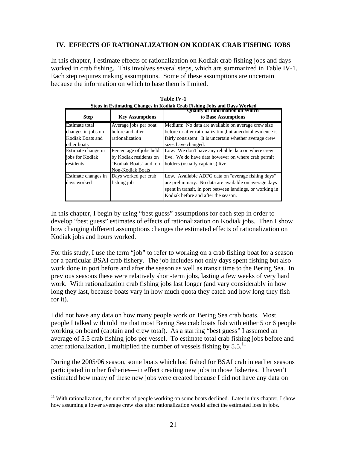### **IV. EFFECTS OF RATIONALIZATION ON KODIAK CRAB FISHING JOBS**

In this chapter, I estimate effects of rationalization on Kodiak crab fishing jobs and days worked in crab fishing. This involves several steps, which are summarized in Table IV-1. Each step requires making assumptions. Some of these assumptions are uncertain because the information on which to base them is limited.

|                       |                         | Steds in estimating Changes in Koulak Crab Fishing Jods and Davs Worked<br>Quality of Information on Which |
|-----------------------|-------------------------|------------------------------------------------------------------------------------------------------------|
| <b>Step</b>           | <b>Key Assumptions</b>  | to Base Assumptions                                                                                        |
| <b>Estimate</b> total | Average jobs per boat   | Medium: No data are available on average crew size                                                         |
| changes in jobs on    | before and after        | before or after rationalization, but anecdotal evidence is                                                 |
| Kodiak Boats and      | rationalization         | fairly consistent. It is uncertain whether average crew                                                    |
| other boats           |                         | sizes have changed.                                                                                        |
| Estimate change in    | Percentage of jobs held | Low. We don't have any reliable data on where crew                                                         |
| jobs for Kodiak       | by Kodiak residents on  | live. We do have data however on where crab permit                                                         |
| residents             | "Kodiak Boats" and on   | holders (usually captains) live.                                                                           |
|                       | <b>Non-Kodiak Boats</b> |                                                                                                            |
| Estimate changes in   | Days worked per crab    | Low. Available ADFG data on "average fishing days"                                                         |
| days worked           | fishing job             | are preliminary. No data are available on average days                                                     |
|                       |                         | spent in transit, in port between landings, or working in                                                  |
|                       |                         | Kodiak before and after the season.                                                                        |

**Table IV-1 Steps in Estimating Changes in Kodiak Crab Fishing Jobs and Days Worked** 

In this chapter, I begin by using "best guess" assumptions for each step in order to develop "best guess" estimates of effects of rationalization on Kodiak jobs. Then I show how changing different assumptions changes the estimated effects of rationalization on Kodiak jobs and hours worked.

For this study, I use the term "job" to refer to working on a crab fishing boat for a season for a particular BSAI crab fishery. The job includes not only days spent fishing but also work done in port before and after the season as well as transit time to the Bering Sea. In previous seasons these were relatively short-term jobs, lasting a few weeks of very hard work. With rationalization crab fishing jobs last longer (and vary considerably in how long they last, because boats vary in how much quota they catch and how long they fish for it).

I did not have any data on how many people work on Bering Sea crab boats. Most people I talked with told me that most Bering Sea crab boats fish with either 5 or 6 people working on board (captain and crew total). As a starting "best guess" I assumed an average of 5.5 crab fishing jobs per vessel. To estimate total crab fishing jobs before and after rationalization, I multiplied the number of vessels fishing by  $5.5$ .<sup>11</sup>

During the 2005/06 season, some boats which had fished for BSAI crab in earlier seasons participated in other fisheries—in effect creating new jobs in those fisheries. I haven't estimated how many of these new jobs were created because I did not have any data on

 $\overline{a}$ 

<sup>&</sup>lt;sup>11</sup> With rationalization, the number of people working on some boats declined. Later in this chapter, I show how assuming a lower average crew size after rationalization would affect the estimated loss in jobs.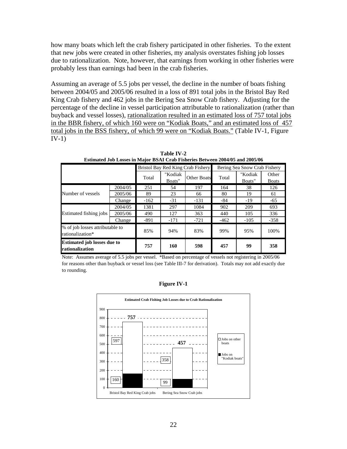how many boats which left the crab fishery participated in other fisheries. To the extent that new jobs were created in other fisheries, my analysis overstates fishing job losses due to rationalization. Note, however, that earnings from working in other fisheries were probably less than earnings had been in the crab fisheries.

Assuming an average of 5.5 jobs per vessel, the decline in the number of boats fishing between 2004/05 and 2005/06 resulted in a loss of 891 total jobs in the Bristol Bay Red King Crab fishery and 462 jobs in the Bering Sea Snow Crab fishery. Adjusting for the percentage of the decline in vessel participation attributable to rationalization (rather than buyback and vessel losses), rationalization resulted in an estimated loss of 757 total jobs in the BBR fishery, of which 160 were on "Kodiak Boats," and an estimated loss of 457 total jobs in the BSS fishery, of which 99 were on "Kodiak Boats." (Table IV-1, Figure IV-1)

|                                                       |         |        |         | Bristol Bay Red King Crab Fishery | Bering Sea Snow Crab Fishery |         |              |  |
|-------------------------------------------------------|---------|--------|---------|-----------------------------------|------------------------------|---------|--------------|--|
|                                                       |         | Total  | "Kodiak |                                   |                              | "Kodiak | Other        |  |
|                                                       |         |        | Boats"  | <b>Other Boats</b>                | Total                        | Boats"  | <b>Boats</b> |  |
|                                                       | 2004/05 | 251    | 54      | 197                               | 164                          | 38      | 126          |  |
| Number of vessels                                     | 2005/06 | 89     | 23      | 66                                | 80                           | 19      | 61           |  |
|                                                       | Change  | $-162$ | $-31$   | $-131$                            | $-84$                        | $-19$   | $-65$        |  |
|                                                       | 2004/05 | 1381   | 297     | 1084                              | 902                          | 209     | 693          |  |
| Estimated fishing jobs                                | 2005/06 | 490    | 127     | 363                               | 440                          | 105     | 336          |  |
|                                                       | Change  | $-891$ | $-171$  | $-721$                            | $-462$                       | $-105$  | $-358$       |  |
| % of job losses attributable to<br>rationalization*   |         | 85%    | 94%     | 83%                               | 99%                          | 95%     | 100%         |  |
| <b>Estimated job losses due to</b><br>rationalization |         | 757    | 160     | 598                               | 457                          | 99      | 358          |  |

**Table IV-2 Estimated Job Losses in Major BSAI Crab Fisheries Between 2004/05 and 2005/06**

Note: Assumes average of 5.5 jobs per vessel. \*Based on percentage of vessels not registering in 2005/06 for reasons other than buyback or vessel loss (see Table III-7 for derivation). Totals may not add exactly due to rounding.

**Figure IV-1** 

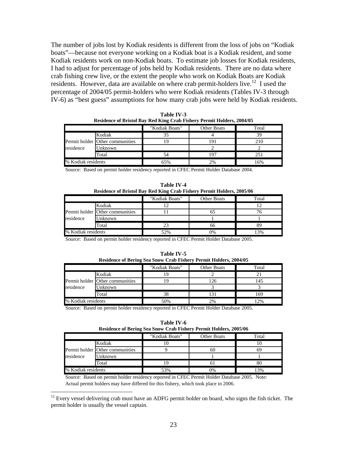The number of jobs lost by Kodiak residents is different from the loss of jobs on "Kodiak boats"—because not everyone working on a Kodiak boat is a Kodiak resident, and some Kodiak residents work on non-Kodiak boats. To estimate job losses for Kodiak residents, I had to adjust for percentage of jobs held by Kodiak residents. There are no data where crab fishing crew live, or the extent the people who work on Kodiak Boats are Kodiak residents. However, data are available on where crab permit-holders live.<sup>12</sup> I used the percentage of 2004/05 permit-holders who were Kodiak residents (Tables IV-3 through IV-6) as "best guess" assumptions for how many crab jobs were held by Kodiak residents.

|                    |                                 | "Kodiak Boats" | <b>Other Boats</b> | Total        |
|--------------------|---------------------------------|----------------|--------------------|--------------|
|                    | Kodiak                          |                |                    |              |
|                    | Permit holder Other communities |                | 191                | 210          |
| residence          | Unknown                         |                |                    |              |
|                    | Total                           |                | 19 <sup>7</sup>    | $25^{\circ}$ |
| % Kodiak residents |                                 | 65%            | 2%                 | 16%          |

**Table IV-3 Residence of Bristol Bay Red King Crab Fishery Permit Holders, 2004/05**

Source: Based on permit holder residency reported in CFEC Permit Holder Database 2004.

| Table IV-4                                                             |  |
|------------------------------------------------------------------------|--|
| Residence of Bristol Bay Red King Crab Fishery Permit Holders, 2005/06 |  |

|                    |                                 | "Kodiak Boats" | Other Boats | Total |
|--------------------|---------------------------------|----------------|-------------|-------|
|                    | Kodiak                          |                |             |       |
|                    | Permit holder Other communities |                |             |       |
| residence          | Unknown                         |                |             |       |
|                    | Total                           |                | nn          |       |
| % Kodiak residents |                                 | 52%            | 0%          | 3%    |

Source: Based on permit holder residency reported in CFEC Permit Holder Database 2005.

| Table IV-5                                                               |  |
|--------------------------------------------------------------------------|--|
| <b>Residence of Bering Sea Snow Crab Fishery Permit Holders, 2004/05</b> |  |

|                    |                                 | "Kodiak Boats" | Other Boats | Total |
|--------------------|---------------------------------|----------------|-------------|-------|
|                    | Kodiak                          |                |             |       |
|                    | Permit holder Other communities |                |             | 145   |
| residence          | Unknown                         |                |             |       |
|                    | Total                           | 38             |             | 169   |
| % Kodiak residents |                                 | 50%            | 2%          | 2%    |

Source: Based on permit holder residency reported in CFEC Permit Holder Database 2005.

**Table IV-6** 

|                    | <b>Residence of Bering Sea Snow Crab Fishery Permit Holders, 2005/06</b> |                |                    |       |  |  |  |  |  |
|--------------------|--------------------------------------------------------------------------|----------------|--------------------|-------|--|--|--|--|--|
|                    |                                                                          | "Kodiak Boats" | <b>Other Boats</b> | Total |  |  |  |  |  |
|                    | Kodiak                                                                   |                |                    |       |  |  |  |  |  |
|                    | Permit holder Other communities                                          |                | 61                 |       |  |  |  |  |  |
| residence          | Unknown                                                                  |                |                    |       |  |  |  |  |  |
|                    | Total                                                                    |                |                    |       |  |  |  |  |  |
| % Kodiak residents |                                                                          | 53%            | 0%                 | 13%   |  |  |  |  |  |

Source: Based on permit holder residency reported in CFEC Permit Holder Database 2005. Note: Actual permit holders may have differed for this fishery, which took place in 2006.

 $\overline{a}$ 

 $12$  Every vessel delivering crab must have an ADFG permit holder on board, who signs the fish ticket. The permit holder is usually the vessel captain.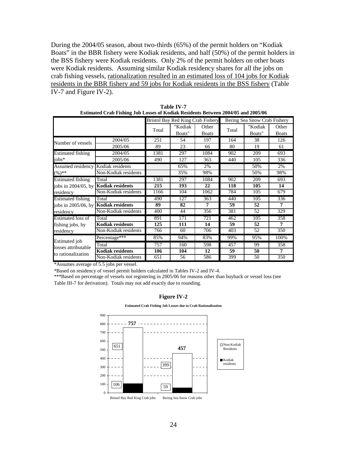During the 2004/05 season, about two-thirds (65%) of the permit holders on "Kodiak Boats" in the BBR fishery were Kodiak residents, and half (50%) of the permit holders in the BSS fishery were Kodiak residents. Only 2% of the permit holders on other boats were Kodiak residents. Assuming similar Kodiak residency shares for all the jobs on crab fishing vessels, rationalization resulted in an estimated loss of 104 jobs for Kodiak residents in the BBR fishery and 59 jobs for Kodiak residents in the BSS fishery (Table IV-7 and Figure IV-2).

|                                             | <b>Estimated Crab Fishing Job Losses of Kodiak Residents Between 2004/05 and 2005/06</b> |       |                   |                                   |       |                              |                       |  |  |
|---------------------------------------------|------------------------------------------------------------------------------------------|-------|-------------------|-----------------------------------|-------|------------------------------|-----------------------|--|--|
|                                             |                                                                                          |       |                   | Bristol Bay Red King Crab Fishery |       | Bering Sea Snow Crab Fishery |                       |  |  |
|                                             |                                                                                          | Total | "Kodiak<br>Boats" | Other<br><b>Boats</b>             | Total | "Kodiak<br>Boats"            | Other<br><b>Boats</b> |  |  |
|                                             | 2004/05                                                                                  | 251   | 54                | 197                               | 164   | 38                           | 126                   |  |  |
| Number of vessels                           | 2005/06                                                                                  | 89    | 23                | 66                                | 80    | 19                           | 61                    |  |  |
| <b>Estimated fishing</b>                    | 2004/05                                                                                  | 1381  | 297               | 1084                              | 902   | 209                          | 693                   |  |  |
| jobs*                                       | 2005/06                                                                                  | 490   | 127               | 363                               | 440   | 105                          | 336                   |  |  |
| Assumed residency                           | Kodiak residents                                                                         |       | 65%               | 2%                                |       | 50%                          | 2%                    |  |  |
| $(\%)$ **                                   | Non-Kodiak residents                                                                     |       | 35%               | 98%                               |       | 50%                          | 98%                   |  |  |
| <b>Estimated fishing</b>                    | Total                                                                                    | 1381  | 297               | 1084                              | 902   | 209                          | 693                   |  |  |
| jobs in 2004/05, by                         | <b>Kodiak residents</b>                                                                  | 215   | 193               | 22                                | 118   | 105                          | 14                    |  |  |
| residency                                   | Non-Kodiak residents                                                                     | 1166  | 104               | 1062                              | 784   | 105                          | 679                   |  |  |
| <b>Estimated fishing</b>                    | Total                                                                                    | 490   | 127               | 363                               | 440   | 105                          | 336                   |  |  |
| jobs in 2005/06, by Kodiak residents        |                                                                                          | 89    | 82                | 7                                 | 59    | 52                           | 7                     |  |  |
| residency                                   | Non-Kodiak residents                                                                     | 400   | 44                | 356                               | 381   | 52                           | 329                   |  |  |
| Estimated loss of                           | Total                                                                                    | 891   | 171               | 721                               | 462   | 105                          | 358                   |  |  |
| fishing jobs, by                            | <b>Kodiak residents</b>                                                                  | 125   | 111               | 14                                | 59    | 52                           | 7                     |  |  |
| residency                                   | Non-Kodiak residents                                                                     | 766   | 60                | 706                               | 403   | 52                           | 350                   |  |  |
| <b>Estimated</b> job<br>losses attributable | Percentage***                                                                            | 85%   | 94%               | 83%                               | 99%   | 95%                          | 100%                  |  |  |
|                                             | Total                                                                                    | 757   | 160               | 598                               | 457   | 99                           | 358                   |  |  |
| to rationalization                          | <b>Kodiak residents</b>                                                                  | 106   | 104               | 12                                | 59    | 50                           | 7                     |  |  |
|                                             | Non-Kodiak residents                                                                     | 651   | 56                | 586                               | 399   | 50                           | 350                   |  |  |

**Table IV-7** 

\*Assumes average of 5.5 jobs per vessel.

\*Based on residency of vessel permit holders calculated in Tables IV-2 and IV-4.

\*\*\*Based on percentage of vessels not registering in 2005/06 for reasons other than buyback or vessel loss (see Table III-7 for derivation). Totals may not add exactly due to rounding.

**Figure IV-2** 

**Estimated Crab Fishing Job Losses due to Crab Rationalization**

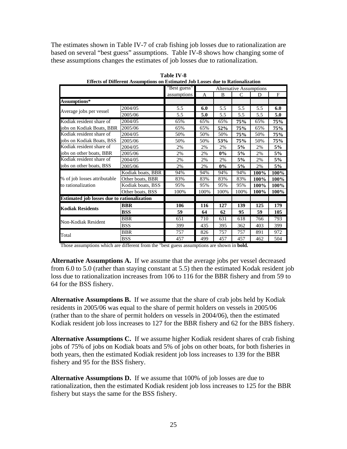The estimates shown in Table IV-7 of crab fishing job losses due to rationalization are based on several "best guess" assumptions. Table IV-8 shows how changing some of these assumptions changes the estimates of job losses due to rationalization.

|                                                    |                   | "Best guess"                                                                                          | <b>Alternative Assumptions</b> |      |              |      |      |  |
|----------------------------------------------------|-------------------|-------------------------------------------------------------------------------------------------------|--------------------------------|------|--------------|------|------|--|
|                                                    |                   | assumptions                                                                                           | A                              | B    | $\mathsf{C}$ | D    | F    |  |
| Assumptions*                                       |                   |                                                                                                       |                                |      |              |      |      |  |
|                                                    | 2004/05           | 5.5                                                                                                   | 6.0                            | 5.5  | 5.5          | 5.5  | 6.0  |  |
| Average jobs per vessel                            | 2005/06           | 5.5                                                                                                   | 5.0                            | 5.5  | 5.5          | 5.5  | 5.0  |  |
| Kodiak resident share of                           | 2004/05           | 65%                                                                                                   | 65%                            | 65%  | <b>75%</b>   | 65%  | 75%  |  |
| jobs on Kodiak Boats, BBR                          | 2005/06           | 65%                                                                                                   | 65%                            | 52%  | 75%          | 65%  | 75%  |  |
| Kodiak resident share of                           | 2004/05           | 50%                                                                                                   | 50%                            | 50%  | 75%          | 50%  | 75%  |  |
| jobs on Kodiak Boats, BSS                          | 2005/06           | 50%                                                                                                   | 50%                            | 53%  | 75%          | 50%  | 75%  |  |
| Kodiak resident share of                           | 2004/05           | 2%                                                                                                    | 2%                             | 2%   | 5%           | 2%   | 5%   |  |
| jobs on other boats, BBR                           | 2005/06           | 2%                                                                                                    | 2%                             | 0%   | 5%           | 2%   | 5%   |  |
| Kodiak resident share of                           | 2004/05           | 2%                                                                                                    | 2%                             | 2%   | 5%           | 2%   | 5%   |  |
| jobs on other boats, BSS                           | 2005/06           | 2%                                                                                                    | 2%                             | 0%   | 5%           | 2%   | 5%   |  |
|                                                    | Kodiak boats, BBR | 94%                                                                                                   | 94%                            | 94%  | 94%          | 100% | 100% |  |
| % of job losses attributable                       | Other boats, BBR  | 83%                                                                                                   | 83%                            | 83%  | 83%          | 100% | 100% |  |
| to rationalization                                 | Kodiak boats, BSS | 95%                                                                                                   | 95%                            | 95%  | 95%          | 100% | 100% |  |
|                                                    | Other boats, BSS  | 100%                                                                                                  | 100%                           | 100% | 100%         | 100% | 100% |  |
| <b>Estimated job losses due to rationalization</b> |                   |                                                                                                       |                                |      |              |      |      |  |
| <b>Kodiak Residents</b>                            | <b>BBR</b>        | 106                                                                                                   | 116                            | 127  | 139          | 125  | 179  |  |
|                                                    | <b>BSS</b>        | 59                                                                                                    | 64                             | 62   | 95           | 59   | 105  |  |
|                                                    | <b>BBR</b>        | 651                                                                                                   | 710                            | 631  | 618          | 766  | 793  |  |
| Non-Kodiak Resident                                | <b>BSS</b>        | 399<br>435<br>395<br>362<br>403<br>757<br>826<br>757<br>757<br>891<br>457<br>499<br>457<br>457<br>462 | 399                            |      |              |      |      |  |
|                                                    | <b>BBR</b>        |                                                                                                       |                                |      |              |      | 972  |  |
| Total                                              | <b>BSS</b>        |                                                                                                       |                                |      |              |      | 504  |  |

**Table IV-8 Effects of Different Assumptions on Estimated Job Losses due to Rationalization** 

Those assumptions which are different from the "best guess assumptions are shown in **bold.**

**Alternative Assumptions A.** If we assume that the average jobs per vessel decreased from 6.0 to 5.0 (rather than staying constant at 5.5) then the estimated Kodak resident job loss due to rationalization increases from 106 to 116 for the BBR fishery and from 59 to 64 for the BSS fishery.

**Alternative Assumptions B.** If we assume that the share of crab jobs held by Kodiak residents in 2005/06 was equal to the share of permit holders on vessels in 2005/06 (rather than to the share of permit holders on vessels in 2004/06), then the estimated Kodiak resident job loss increases to 127 for the BBR fishery and 62 for the BBS fishery.

**Alternative Assumptions C.** If we assume higher Kodiak resident shares of crab fishing jobs of 75% of jobs on Kodiak boats and 5% of jobs on other boats, for both fisheries in both years, then the estimated Kodiak resident job loss increases to 139 for the BBR fishery and 95 for the BSS fishery.

**Alternative Assumptions D.** If we assume that 100% of job losses are due to rationalization, then the estimated Kodiak resident job loss increases to 125 for the BBR fishery but stays the same for the BSS fishery.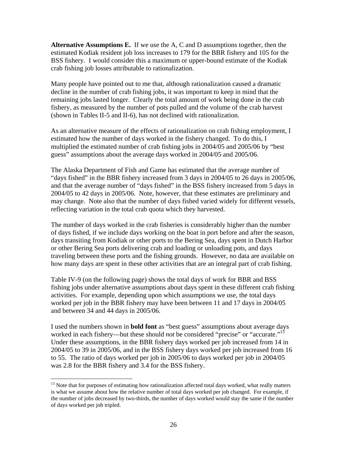**Alternative Assumptions E.** If we use the A, C and D assumptions together, then the estimated Kodiak resident job loss increases to 179 for the BBR fishery and 105 for the BSS fishery. I would consider this a maximum or upper-bound estimate of the Kodiak crab fishing job losses attributable to rationalization.

Many people have pointed out to me that, although rationalization caused a dramatic decline in the number of crab fishing jobs, it was important to keep in mind that the remaining jobs lasted longer. Clearly the total amount of work being done in the crab fishery, as measured by the number of pots pulled and the volume of the crab harvest (shown in Tables II-5 and II-6), has not declined with rationalization.

As an alternative measure of the effects of rationalization on crab fishing employment, I estimated how the number of days worked in the fishery changed. To do this, I multiplied the estimated number of crab fishing jobs in 2004/05 and 2005/06 by "best guess" assumptions about the average days worked in 2004/05 and 2005/06.

The Alaska Department of Fish and Game has estimated that the average number of "days fished" in the BBR fishery increased from 3 days in 2004/05 to 26 days in 2005/06, and that the average number of "days fished" in the BSS fishery increased from 5 days in 2004/05 to 42 days in 2005/06. Note, however, that these estimates are preliminary and may change. Note also that the number of days fished varied widely for different vessels, reflecting variation in the total crab quota which they harvested.

The number of days worked in the crab fisheries is considerably higher than the number of days fished, if we include days working on the boat in port before and after the season, days transiting from Kodiak or other ports to the Bering Sea, days spent in Dutch Harbor or other Bering Sea ports delivering crab and loading or unloading pots, and days traveling between these ports and the fishing grounds. However, no data are available on how many days are spent in these other activities that are an integral part of crab fishing.

Table IV-9 (on the following page) shows the total days of work for BBR and BSS fishing jobs under alternative assumptions about days spent in these different crab fishing activities. For example, depending upon which assumptions we use, the total days worked per job in the BBR fishery may have been between 11 and 17 days in 2004/05 and between 34 and 44 days in 2005/06.

I used the numbers shown in **bold font** as "best guess" assumptions about average days worked in each fishery—but these should *not* be considered "precise" or "accurate."<sup>13</sup> Under these assumptions, in the BBR fishery days worked per job increased from 14 in 2004/05 to 39 in 2005/06, and in the BSS fishery days worked per job increased from 16 to 55. The ratio of days worked per job in 2005/06 to days worked per job in 2004/05 was 2.8 for the BBR fishery and 3.4 for the BSS fishery.

<u>.</u>

<sup>&</sup>lt;sup>13</sup> Note that for purposes of estimating how rationalization affected total days worked, what really matters is what we assume about how the relative number of total days worked per job changed. For example, if the number of jobs decreased by two-thirds, the number of days worked would stay the same if the number of days worked per job tripled.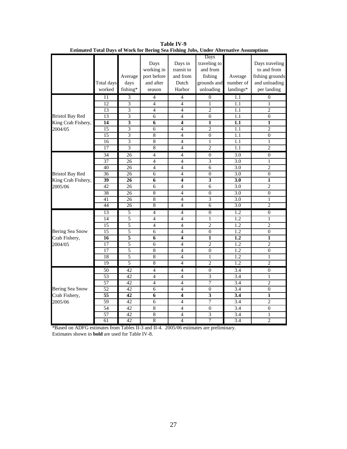|                        |                 |                           |                |                         | Days                    |                  |                         |
|------------------------|-----------------|---------------------------|----------------|-------------------------|-------------------------|------------------|-------------------------|
|                        |                 |                           | Days           | Days in                 | traveling to            |                  | Days traveling          |
|                        |                 |                           | working in     | transit to              | and from                |                  | to and from             |
|                        |                 | Average                   | port before    | and from                | fishing                 | Average          | fishing grounds         |
|                        | Total days      | days                      | and after      | Dutch                   | grounds and             | number of        | and unloading           |
|                        | worked          | fishing*                  | season         | Harbor                  | unloading               | landings*        | per landing             |
|                        | 11              | 3                         | $\overline{4}$ | $\overline{4}$          | $\mathbf{0}$            | 1.1              | $\boldsymbol{0}$        |
|                        | 12              | 3                         | $\overline{4}$ | $\overline{4}$          | $\mathbf{1}$            | 1.1              | $\mathbf{1}$            |
|                        | 13              | $\overline{\mathbf{3}}$   | $\overline{4}$ | $\overline{4}$          | $\overline{2}$          | 1.1              | $\overline{2}$          |
| <b>Bristol Bay Red</b> | 13              | 3                         | 6              | $\overline{4}$          | $\theta$                | 1.1              | $\overline{0}$          |
| King Crab Fishery,     | $\overline{14}$ | $\overline{\mathbf{3}}$   | $\overline{6}$ | $\overline{\mathbf{4}}$ | $\mathbf{1}$            | 1.1              | $\overline{\mathbf{1}}$ |
| 2004/05                | 15              | 3                         | 6              | $\overline{4}$          | $\overline{2}$          | 1.1              | $\overline{2}$          |
|                        | 15              | $\overline{\mathbf{3}}$   | 8              | $\overline{4}$          | $\overline{0}$          | 1.1              | $\overline{0}$          |
|                        | 16              | 3                         | $\overline{8}$ | $\overline{4}$          | $\mathbf{1}$            | 1.1              | 1                       |
|                        | 17              | $\overline{\overline{3}}$ | $\overline{8}$ | $\overline{4}$          | $\overline{2}$          | 1.1              | $\overline{2}$          |
|                        | 34              | 26                        | $\overline{4}$ | $\overline{4}$          | $\boldsymbol{0}$        | 3.0              | $\overline{0}$          |
|                        | 37              | 26                        | $\overline{4}$ | $\overline{4}$          | 3                       | 3.0              | 1                       |
|                        | 40              | 26                        | $\overline{4}$ | $\overline{4}$          | 6                       | 3.0              | $\overline{c}$          |
| <b>Bristol Bay Red</b> | 36              | 26                        | 6              | $\overline{4}$          | $\overline{0}$          | 3.0              | $\overline{0}$          |
| King Crab Fishery,     | 39              | 26                        | 6              | $\overline{\mathbf{4}}$ | $\overline{\mathbf{3}}$ | 3.0              | $\overline{\mathbf{1}}$ |
| 2005/06                | 42              | 26                        | 6              | $\overline{4}$          | 6                       | 3.0              | $\overline{2}$          |
|                        | 38              | 26                        | $\overline{8}$ | $\overline{4}$          | $\overline{0}$          | 3.0              | $\overline{0}$          |
|                        | 41              | 26                        | $\overline{8}$ | $\overline{4}$          | $\overline{3}$          | 3.0              | 1                       |
|                        | 44              | $\overline{26}$           | 8              | $\overline{4}$          | $\overline{6}$          | 3.0              | $\overline{2}$          |
|                        | 13              | 5                         | $\overline{4}$ | $\overline{4}$          | $\boldsymbol{0}$        | 1.2              | $\overline{0}$          |
|                        | 14              | 5                         | $\overline{4}$ | $\overline{4}$          | $\mathbf{1}$            | $\overline{1.2}$ | $\mathbf{1}$            |
|                        | 15              | 5                         | $\overline{4}$ | $\overline{4}$          | $\overline{c}$          | 1.2              | $\overline{c}$          |
| Bering Sea Snow        | $\overline{15}$ | 5                         | 6              | $\overline{4}$          | $\overline{0}$          | $\overline{1.2}$ | $\overline{0}$          |
| Crab Fishery,          | 16              | 5                         | 6              | 4                       | $\mathbf{1}$            | 1.2              | $\mathbf{1}$            |
| 2004/05                | $\overline{17}$ | 5                         | $\overline{6}$ | $\overline{4}$          | $\overline{c}$          | $\overline{1.2}$ | $\overline{2}$          |
|                        | 17              | 5                         | $\overline{8}$ | $\overline{4}$          | $\overline{0}$          | 1.2              | $\theta$                |
|                        | 18              | 5                         | $\overline{8}$ | $\overline{4}$          | $\mathbf{1}$            | $\overline{1.2}$ | 1                       |
|                        | 19              | $\overline{5}$            | $\overline{8}$ | $\overline{4}$          | $\overline{2}$          | 1.2              | $\overline{2}$          |
|                        | 50              | 42                        | $\overline{4}$ | $\overline{4}$          | $\theta$                | 3.4              | $\overline{0}$          |
|                        | 53              | 42                        | $\overline{4}$ | $\overline{4}$          | 3                       | 3.4              | 1                       |
|                        | 57              | 42                        | $\overline{4}$ | $\overline{4}$          | 7                       | 3.4              | $\overline{c}$          |
| Bering Sea Snow        | $\overline{52}$ | 42                        | 6              | $\overline{4}$          | $\overline{0}$          | 3.4              | $\overline{0}$          |
| Crab Fishery,          | 55              | 42                        | 6              | $\overline{\mathbf{4}}$ | $\overline{\mathbf{3}}$ | 3.4              | 1                       |
| 2005/06                | 59              | 42                        | 6              | $\overline{4}$          | 7                       | 3.4              | $\overline{c}$          |
|                        | 54              | 42                        | $\overline{8}$ | $\overline{4}$          | $\theta$                | 3.4              | $\theta$                |
|                        | 57              | 42                        | 8              | $\overline{4}$          | $\overline{3}$          | 3.4              | 1                       |
|                        | 61              | 42                        | $\overline{8}$ | $\overline{4}$          | 7                       | 3.4              | $\overline{2}$          |

**Table IV-9 Estimated Total Days of Work for Bering Sea Fishing Jobs, Under Alternative Assumptions**

\*Based on ADFG estimates from Tables II-3 and II-4. 2005/06 estimates are preliminary. Estimates shown in **bold** are used for Table IV-8.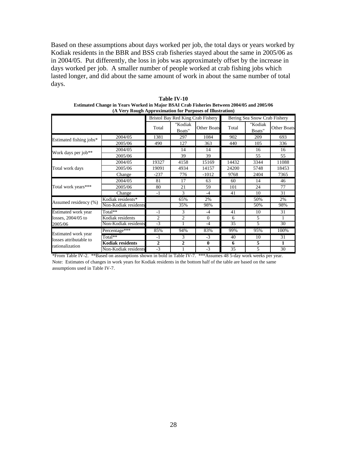Based on these assumptions about days worked per job, the total days or years worked by Kodiak residents in the BBR and BSS crab fisheries stayed about the same in 2005/06 as in 2004/05. Put differently, the loss in jobs was approximately offset by the increase in days worked per job. A smaller number of people worked at crab fishing jobs which lasted longer, and did about the same amount of work in about the same number of total days.

|                                               |                         |                |                   | Bristol Bay Red King Crab Fishery |                 | Bering Sea Snow Crab Fishery |                    |
|-----------------------------------------------|-------------------------|----------------|-------------------|-----------------------------------|-----------------|------------------------------|--------------------|
|                                               |                         | Total          | "Kodiak<br>Boats" | <b>Other Boats</b>                | Total           | "Kodiak<br>Boats"            | <b>Other Boats</b> |
| Estimated fishing jobs*                       | 2004/05                 | 1381           | 297               | 1084                              | 902             | 209                          | 693                |
|                                               | 2005/06                 | 490            | 127               | 363                               | 440             | 105                          | 336                |
| Work days per job**                           | 2004/05                 |                | 14                | 14                                |                 | 16                           | 16                 |
|                                               | 2005/06                 |                | 39                | 39                                |                 | 55                           | 55                 |
|                                               | 2004/05                 | 19327          | 4158              | 15169                             | 14432           | 3344                         | 11088              |
| Total work days                               | 2005/06                 | 19091          | 4934              | 14157                             | 24200           | 5748                         | 18453              |
|                                               | Change                  | $-237$         | 776               | $-1012$                           | 9768            | 2404                         | 7365               |
|                                               | 2004/05                 | 81             | 17                | 63                                | 60              | 14                           | 46                 |
| Total work years***                           | 2005/06                 | 80             | 21                | 59                                | 101             | 24                           | 77                 |
|                                               | Change                  | $-1$           | 3                 | $-4$                              | 41              | 10                           | 31                 |
| Assumed residency (%)                         | Kodiak residents*       |                | 65%               | 2%                                |                 | 50%                          | 2%                 |
|                                               | Non-Kodiak residents    |                | 35%               | 98%                               |                 | 50%                          | 98%                |
| Estimated work year                           | $Total**$               | $-1$           | 3                 | $-4$                              | 41              | 10                           | 31                 |
| losses, 2004/05 to                            | Kodiak residents        | $\overline{2}$ | $\overline{c}$    | $\Omega$                          | 6               | 5                            |                    |
| 2005/06                                       | Non-Kodiak residents    | $-3$           | 1                 | $-4$                              | $\overline{35}$ | 5                            | 30                 |
|                                               | Percentage***           | 85%            | 94%               | 83%                               | 99%             | 95%                          | 100%               |
| Estimated work year<br>losses attributable to | Total**                 | $-1$           | 3                 | $-3$                              | 40              | 10                           | 31                 |
| rationalization                               | <b>Kodiak residents</b> | $\mathbf{2}$   | $\overline{2}$    | $\bf{0}$                          | 6               | 5                            | 1                  |
|                                               | Non-Kodiak residents    | $-3$           |                   | $-3$                              | 35              | 5                            | 30                 |

**Table IV-10 Estimated Change in Years Worked in Major BSAI Crab Fisheries Between 2004/05 and 2005/06 (A Very Rough Approximation for Purposes of Illustration)**

\*From Table IV-2. \*\*Based on assumptions shown in bold in Table IV-7. \*\*\*Assumes 48 5-day work weeks per year. Note: Estimates of changes in work years for Kodiak residents in the bottom half of the table are based on the same assumptions used in Table IV-7.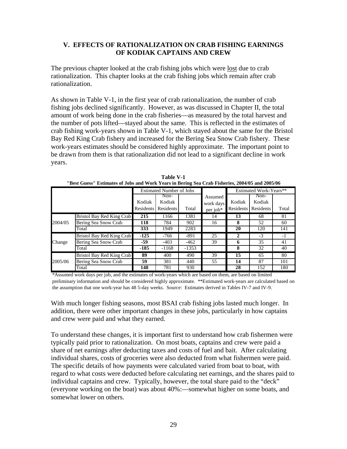### **V. EFFECTS OF RATIONALIZATION ON CRAB FISHING EARNINGS OF KODIAK CAPTAINS AND CREW**

The previous chapter looked at the crab fishing jobs which were lost due to crab rationalization. This chapter looks at the crab fishing jobs which remain after crab rationalization.

As shown in Table V-1, in the first year of crab rationalization, the number of crab fishing jobs declined significantly. However, as was discussed in Chapter II, the total amount of work being done in the crab fisheries—as measured by the total harvest and the number of pots lifted—stayed about the same. This is reflected in the estimates of crab fishing work-years shown in Table V-1, which stayed about the same for the Bristol Bay Red King Crab fishery and increased for the Bering Sea Snow Crab fishery. These work-years estimates should be considered highly approximate. The important point to be drawn from them is that rationalization did not lead to a significant decline in work years.

|         |                           |                  | <b>Estimated Number of Jobs</b> |         | Estimated Work-Years** |           |           |       |
|---------|---------------------------|------------------|---------------------------------|---------|------------------------|-----------|-----------|-------|
|         |                           |                  | Non-                            |         | Assumed                |           | Non-      |       |
|         |                           | Kodiak           | Kodiak                          |         | work days              | Kodiak    | Kodiak    |       |
|         |                           | <b>Residents</b> | <b>Residents</b>                | Total   | per job*               | Residents | Residents | Total |
|         | Bristol Bay Red King Crab | 215              | 1166                            | 1381    | 14                     | 13        | 68        | 81    |
| 2004/05 | Bering Sea Snow Crab      | 118              | 784                             | 902     | 16                     | 8         | 52        | 60    |
|         | Total                     | 333              | 1949                            | 2283    |                        | 20        | 120       | 141   |
|         | Bristol Bay Red King Crab | $-125$           | -766                            | -891    | 25                     | 2         | $-3$      | $-1$  |
| Change  | Bering Sea Snow Crab      | -59              | $-403$                          | $-462$  | 39                     | 6         | 35        | 41    |
|         | Total                     | $-185$           | $-1168$                         | $-1353$ |                        | 8         | 32        | 40    |
|         | Bristol Bay Red King Crab | 89               | 400                             | 490     | 39                     | 15        | 65        | 80    |
| 2005/06 | Bering Sea Snow Crab      | 59               | 381                             | 440     | 55                     | 14        | 87        | 101   |
|         | Total                     | 148              | 781                             | 930     |                        | 28        | 152       | 180   |

**Table V-1 "Best Guess" Estimates of Jobs and Work Years in Bering Sea Crab Fisheries, 2004/05 and 2005/06**

\*Assumed work days per job, and the estimates of work-years which are based on them, are based on limited preliminary information and should be considered highly approximate. \*\*Estimated work-years are calculated based on the assumption that one work-year has 48 5-day weeks. Source: Estimates derived in Tables IV-7 and IV-9.

With much longer fishing seasons, most BSAI crab fishing jobs lasted much longer. In addition, there were other important changes in these jobs, particularly in how captains and crew were paid and what they earned.

To understand these changes, it is important first to understand how crab fishermen were typically paid prior to rationalization. On most boats, captains and crew were paid a share of net earnings after deducting taxes and costs of fuel and bait. After calculating individual shares, costs of groceries were also deducted from what fishermen were paid. The specific details of how payments were calculated varied from boat to boat, with regard to what costs were deducted before calculating net earnings, and the shares paid to individual captains and crew. Typically, however, the total share paid to the "deck" (everyone working on the boat) was about 40%:—somewhat higher on some boats, and somewhat lower on others.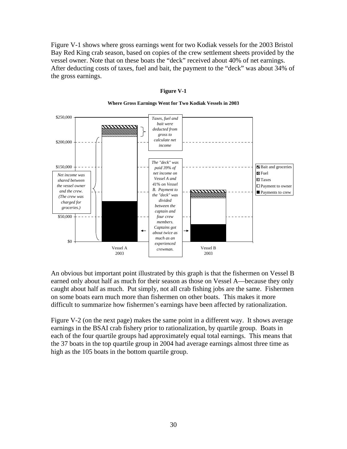Figure V-1 shows where gross earnings went for two Kodiak vessels for the 2003 Bristol Bay Red King crab season, based on copies of the crew settlement sheets provided by the vessel owner. Note that on these boats the "deck" received about 40% of net earnings. After deducting costs of taxes, fuel and bait, the payment to the "deck" was about 34% of the gross earnings.



### **Figure V-1**

**Where Gross Earnings Went for Two Kodiak Vessels in 2003**

An obvious but important point illustrated by this graph is that the fishermen on Vessel B earned only about half as much for their season as those on Vessel A—because they only caught about half as much. Put simply, not all crab fishing jobs are the same. Fishermen on some boats earn much more than fishermen on other boats. This makes it more difficult to summarize how fishermen's earnings have been affected by rationalization.

Figure V-2 (on the next page) makes the same point in a different way. It shows average earnings in the BSAI crab fishery prior to rationalization, by quartile group. Boats in each of the four quartile groups had approximately equal total earnings. This means that the 37 boats in the top quartile group in 2004 had average earnings almost three time as high as the 105 boats in the bottom quartile group.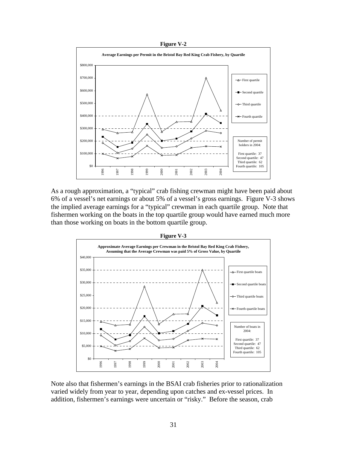

As a rough approximation, a "typical" crab fishing crewman might have been paid about 6% of a vessel's net earnings or about 5% of a vessel's gross earnings. Figure V-3 shows the implied average earnings for a "typical" crewman in each quartile group. Note that fishermen working on the boats in the top quartile group would have earned much more than those working on boats in the bottom quartile group.



Note also that fishermen's earnings in the BSAI crab fisheries prior to rationalization varied widely from year to year, depending upon catches and ex-vessel prices. In addition, fishermen's earnings were uncertain or "risky." Before the season, crab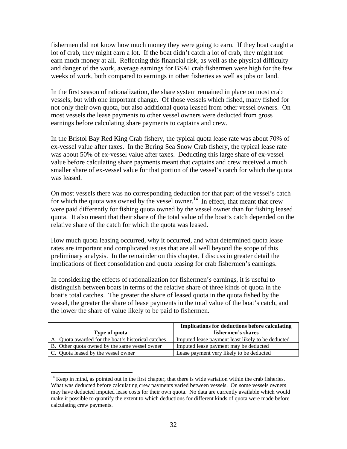fishermen did not know how much money they were going to earn. If they boat caught a lot of crab, they might earn a lot. If the boat didn't catch a lot of crab, they might not earn much money at all. Reflecting this financial risk, as well as the physical difficulty and danger of the work, average earnings for BSAI crab fishermen were high for the few weeks of work, both compared to earnings in other fisheries as well as jobs on land.

In the first season of rationalization, the share system remained in place on most crab vessels, but with one important change. Of those vessels which fished, many fished for not only their own quota, but also additional quota leased from other vessel owners. On most vessels the lease payments to other vessel owners were deducted from gross earnings before calculating share payments to captains and crew.

In the Bristol Bay Red King Crab fishery, the typical quota lease rate was about 70% of ex-vessel value after taxes. In the Bering Sea Snow Crab fishery, the typical lease rate was about 50% of ex-vessel value after taxes. Deducting this large share of ex-vessel value before calculating share payments meant that captains and crew received a much smaller share of ex-vessel value for that portion of the vessel's catch for which the quota was leased.

On most vessels there was no corresponding deduction for that part of the vessel's catch for which the quota was owned by the vessel owner.<sup>14</sup> In effect, that meant that crew were paid differently for fishing quota owned by the vessel owner than for fishing leased quota. It also meant that their share of the total value of the boat's catch depended on the relative share of the catch for which the quota was leased.

How much quota leasing occurred, why it occurred, and what determined quota lease rates are important and complicated issues that are all well beyond the scope of this preliminary analysis. In the remainder on this chapter, I discuss in greater detail the implications of fleet consolidation and quota leasing for crab fishermen's earnings.

In considering the effects of rationalization for fishermen's earnings, it is useful to distinguish between boats in terms of the relative share of three kinds of quota in the boat's total catches. The greater the share of leased quota in the quota fished by the vessel, the greater the share of lease payments in the total value of the boat's catch, and the lower the share of value likely to be paid to fishermen.

|                                                    | <b>Implications for deductions before calculating</b> |
|----------------------------------------------------|-------------------------------------------------------|
| Type of quota                                      | fishermen's shares                                    |
| A. Quota awarded for the boat's historical catches | Imputed lease payment least likely to be deducted     |
| B. Other quota owned by the same vessel owner      | Imputed lease payment may be deducted                 |
| C. Quota leased by the vessel owner                | Lease payment very likely to be deducted              |

<sup>&</sup>lt;sup>14</sup> Keep in mind, as pointed out in the first chapter, that there is wide variation within the crab fisheries. What was deducted before calculating crew payments varied between vessels. On some vessels owners may have deducted imputed lease costs for their own quota. No data are currently available which would make it possible to quantify the extent to which deductions for different kinds of quota were made before calculating crew payments.

 $\overline{a}$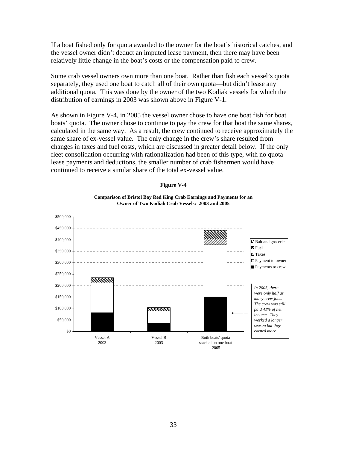If a boat fished only for quota awarded to the owner for the boat's historical catches, and the vessel owner didn't deduct an imputed lease payment, then there may have been relatively little change in the boat's costs or the compensation paid to crew.

Some crab vessel owners own more than one boat. Rather than fish each vessel's quota separately, they used one boat to catch all of their own quota—but didn't lease any additional quota. This was done by the owner of the two Kodiak vessels for which the distribution of earnings in 2003 was shown above in Figure V-1.

As shown in Figure V-4, in 2005 the vessel owner chose to have one boat fish for boat boats' quota. The owner chose to continue to pay the crew for that boat the same shares, calculated in the same way. As a result, the crew continued to receive approximately the same share of ex-vessel value. The only change in the crew's share resulted from changes in taxes and fuel costs, which are discussed in greater detail below. If the only fleet consolidation occurring with rationalization had been of this type, with no quota lease payments and deductions, the smaller number of crab fishermen would have continued to receive a similar share of the total ex-vessel value.



### **Figure V-4**

**Comparison of Bristol Bay Red King Crab Earnings and Payments for an Owner of Two Kodiak Crab Vessels: 2003 and 2005**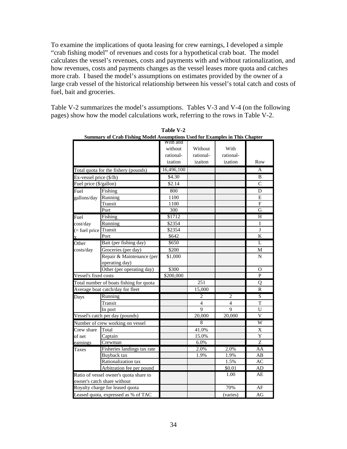To examine the implications of quota leasing for crew earnings, I developed a simple "crab fishing model" of revenues and costs for a hypothetical crab boat. The model calculates the vessel's revenues, costs and payments with and without rationalization, and how revenues, costs and payments changes as the vessel leases more quota and catches more crab. I based the model's assumptions on estimates provided by the owner of a large crab vessel of the historical relationship between his vessel's total catch and costs of fuel, bait and groceries.

Table V-2 summarizes the model's assumptions. Tables V-3 and V-4 (on the following pages) show how the model calculations work, referring to the rows in Table V-2.

|                         | <b>Summary of Crab Fishing Model Assumptions Used for Examples in This Chapter</b> |            |           |                |                         |
|-------------------------|------------------------------------------------------------------------------------|------------|-----------|----------------|-------------------------|
|                         |                                                                                    | With and   |           |                |                         |
|                         |                                                                                    | without    | Without   | With           |                         |
|                         |                                                                                    | rational-  | rational- | rational-      |                         |
|                         |                                                                                    | ization    | izaiton   | ization        | Row                     |
|                         | Total quota for the fishery (pounds)                                               | 16,496,100 |           |                | A                       |
| Ex-vessel price (\$/lb) |                                                                                    | \$4.30     |           |                | B                       |
| Fuel price (\$/gallon)  |                                                                                    | \$2.14     |           |                | $\mathbf C$             |
| Fuel                    | Fishing                                                                            | 800        |           |                | D                       |
| gallons/day             | Running                                                                            | 1100       |           |                | E                       |
|                         | Transit                                                                            | 1100       |           |                | ${\rm F}$               |
|                         | Port                                                                               | 300        |           |                | $\mathbf G$             |
| Fuel                    | Fishing                                                                            | \$1712     |           |                | H                       |
| cost/day                | Running                                                                            | \$2354     |           |                | I                       |
| $($ fuel price          | Transit                                                                            | \$2354     |           |                | J                       |
|                         | Port                                                                               | \$642      |           |                | $\bf K$                 |
| Other                   | Bait (per fishing day)                                                             | \$650      |           |                | L                       |
| costs/day               | Groceries (per day)                                                                | \$200      |           |                | M                       |
|                         | Repair & Maintenance (per                                                          | \$1,000    |           |                | N                       |
|                         | operating day)                                                                     |            |           |                |                         |
|                         | Other (per operating day)                                                          | \$300      |           |                | O                       |
| Vessel's fixed costs    |                                                                                    | \$200,000  |           |                | P                       |
|                         | Total number of boats fishing for quota                                            |            | 251       |                | $\overline{Q}$          |
|                         | Average boat catch/day for fleet                                                   |            | 15,000    |                | R                       |
| Days                    | Running                                                                            |            | 2         | $\overline{c}$ | $\overline{S}$          |
|                         | Transit                                                                            |            | 4         | $\overline{4}$ | $\mathbf T$             |
|                         | In port                                                                            |            | 9         | $\overline{9}$ | U                       |
|                         | Vessel's catch per day (pounds)                                                    |            | 20,000    | 20,000         | $\overline{\mathbf{V}}$ |
|                         | Number of crew working on vessel                                                   |            | 8         |                | W                       |
| Crew share              | Total                                                                              |            | 41.0%     |                | X                       |
| of net                  | Captain                                                                            |            | 15.0%     |                | Y                       |
| earnings                | Crewman                                                                            |            | 6.0%      |                | Z                       |
| Taxes                   | Fisheries landings tax rate                                                        |            | 2.0%      | 2.0%           | AA                      |
|                         | Buyback tax                                                                        |            | 1.9%      | 1.9%           | AB                      |
|                         | Rationalization tax                                                                |            |           | 1.5%           | AC                      |
|                         | Arbitration fee per pound                                                          |            |           | \$0.01         | AD                      |
|                         | Ratio of vessel owner's quota share to                                             |            |           | 1.00           | AE                      |
|                         | owner's catch share without                                                        |            |           |                |                         |
|                         | Royalty charge for leased quota                                                    |            |           | 70%            | AF                      |
|                         | Leased quota, expressed as % of TAC                                                |            |           | (varies)       | AG                      |

| Table V-2                                                                   |            |  |  |  |  |  |
|-----------------------------------------------------------------------------|------------|--|--|--|--|--|
| Summary of Crab Fishing Model Assumptions Used for Examples in This Chapter |            |  |  |  |  |  |
|                                                                             | ■ With and |  |  |  |  |  |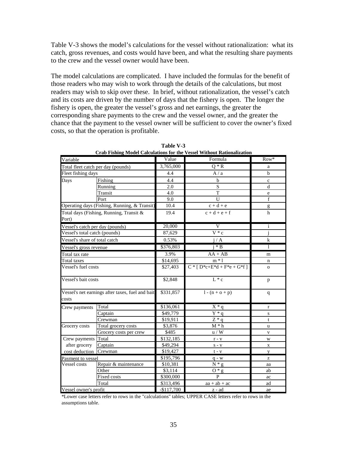Table V-3 shows the model's calculations for the vessel without rationalization: what its catch, gross revenues, and costs would have been, and what the resulting share payments to the crew and the vessel owner would have been.

The model calculations are complicated. I have included the formulas for the benefit of those readers who may wish to work through the details of the calculations, but most readers may wish to skip over these. In brief, without rationalization, the vessel's catch and its costs are driven by the number of days that the fishery is open. The longer the fishery is open, the greater the vessel's gross and net earnings, the greater the corresponding share payments to the crew and the vessel owner, and the greater the chance that the payment to the vessel owner will be sufficient to cover the owner's fixed costs, so that the operation is profitable.

| Variable                        |                                                  | Value       | Crab Fishing Frouch Calculations for the vesser without Kationalization<br>Formula | Row*                                                                                                                                                                                                                                                                                                                                                                                                                           |
|---------------------------------|--------------------------------------------------|-------------|------------------------------------------------------------------------------------|--------------------------------------------------------------------------------------------------------------------------------------------------------------------------------------------------------------------------------------------------------------------------------------------------------------------------------------------------------------------------------------------------------------------------------|
|                                 | Total fleet catch per day (pounds)               | 3,765,000   | $Q * R$                                                                            | a                                                                                                                                                                                                                                                                                                                                                                                                                              |
| Fleet fishing days              |                                                  | 4.4         | A/a                                                                                | $\mathbf b$                                                                                                                                                                                                                                                                                                                                                                                                                    |
| Days                            | Fishing                                          | 4.4         | $\mathbf b$                                                                        | c                                                                                                                                                                                                                                                                                                                                                                                                                              |
|                                 | Running                                          | 2.0         | ${\bf S}$                                                                          | d                                                                                                                                                                                                                                                                                                                                                                                                                              |
|                                 | Transit                                          | 4.0         | $\mathbf T$                                                                        | e                                                                                                                                                                                                                                                                                                                                                                                                                              |
|                                 | Port                                             | 9.0         | U                                                                                  | $\overline{f}$                                                                                                                                                                                                                                                                                                                                                                                                                 |
|                                 | Operating days (Fishing, Running, & Transit)     | 10.4        | $c + d + e$                                                                        | $\mathbf{g}% _{T}=\mathbf{g}_{T}=\mathbf{g}_{T}=\mathbf{g}_{T}=\mathbf{g}_{T}=\mathbf{g}_{T}=\mathbf{g}_{T}=\mathbf{g}_{T}=\mathbf{g}_{T}=\mathbf{g}_{T}=\mathbf{g}_{T}=\mathbf{g}_{T}=\mathbf{g}_{T}=\mathbf{g}_{T}=\mathbf{g}_{T}=\mathbf{g}_{T}=\mathbf{g}_{T}=\mathbf{g}_{T}=\mathbf{g}_{T}=\mathbf{g}_{T}=\mathbf{g}_{T}=\mathbf{g}_{T}=\mathbf{g}_{T}=\mathbf{g}_{T}=\mathbf{g}_{T}=\mathbf{g}_{T}=\mathbf{g}_{T}=\math$ |
|                                 | Total days (Fishing, Running, Transit &          | 19.4        | $c + d + e + f$                                                                    | $\mathbf h$                                                                                                                                                                                                                                                                                                                                                                                                                    |
| Port)                           |                                                  |             |                                                                                    |                                                                                                                                                                                                                                                                                                                                                                                                                                |
| Vessel's catch per day (pounds) |                                                  | 20,000      | $\overline{\rm v}$                                                                 | i                                                                                                                                                                                                                                                                                                                                                                                                                              |
| Vessel's total catch (pounds)   |                                                  | 87,629      | $V * c$                                                                            |                                                                                                                                                                                                                                                                                                                                                                                                                                |
| Vessel's share of total catch   |                                                  | 0.53%       | i/A                                                                                | $\bf k$                                                                                                                                                                                                                                                                                                                                                                                                                        |
| Vessel's gross revenue          |                                                  | \$376,803   | $i * B$                                                                            | 1                                                                                                                                                                                                                                                                                                                                                                                                                              |
| Total tax rate                  |                                                  | 3.9%        | $AA + AB$                                                                          | m                                                                                                                                                                                                                                                                                                                                                                                                                              |
| Total taxes                     |                                                  | \$14,695    | $m * 1$                                                                            | n                                                                                                                                                                                                                                                                                                                                                                                                                              |
| Vessel's fuel costs             |                                                  | \$27,403    | $C * [D * c + E * d + F * e + G * f]$                                              | $\overline{O}$                                                                                                                                                                                                                                                                                                                                                                                                                 |
| Vessel's bait costs             |                                                  | \$2,848     | $L * c$                                                                            | $\, {\bf p}$                                                                                                                                                                                                                                                                                                                                                                                                                   |
| costs                           | Vessel's net earnings after taxes, fuel and bait | \$331,857   | $1 - (n + o + p)$                                                                  | $\mathbf{q}$                                                                                                                                                                                                                                                                                                                                                                                                                   |
| Crew payments                   | Total                                            | \$136,061   | $X * q$                                                                            | $\mathbf{r}$                                                                                                                                                                                                                                                                                                                                                                                                                   |
|                                 | Captain                                          | \$49,779    | $\overline{Y}$ <sup>*</sup> q                                                      | $\mathbf S$                                                                                                                                                                                                                                                                                                                                                                                                                    |
|                                 | Crewman                                          | \$19,911    | $Z * q$                                                                            | t                                                                                                                                                                                                                                                                                                                                                                                                                              |
| Grocery costs                   | Total grocery costs                              | \$3,876     | $\mathbf{M}*\mathbf{h}$                                                            | u                                                                                                                                                                                                                                                                                                                                                                                                                              |
|                                 | Grocery costs per crew                           | \$485       | u / W                                                                              | $\mathbf{V}$                                                                                                                                                                                                                                                                                                                                                                                                                   |
| Crew payments Total             |                                                  | \$132,185   | $\mathbf{r}$ - $\mathbf{v}$                                                        | W                                                                                                                                                                                                                                                                                                                                                                                                                              |
| after grocery                   | Captain                                          | \$49,294    | $S - V$                                                                            | X                                                                                                                                                                                                                                                                                                                                                                                                                              |
| cost deduction                  | Crewman                                          | \$19,427    | $t - v$                                                                            | y                                                                                                                                                                                                                                                                                                                                                                                                                              |
| Payment to vessel               |                                                  | \$195,796   | $q - w$                                                                            | z                                                                                                                                                                                                                                                                                                                                                                                                                              |
| Vessel costs                    | Repair & maintenance                             | \$10,381    | $\bar{N} * g$                                                                      | aa                                                                                                                                                                                                                                                                                                                                                                                                                             |
|                                 | Other                                            | \$3,114     | $O * g$                                                                            | ab                                                                                                                                                                                                                                                                                                                                                                                                                             |
|                                 | Fixed costs                                      | \$300,000   | $\mathbf{P}$                                                                       | ac                                                                                                                                                                                                                                                                                                                                                                                                                             |
|                                 | Total                                            | \$313,496   | $aa + ab + ac$                                                                     | ad                                                                                                                                                                                                                                                                                                                                                                                                                             |
| Vessel owner's profit           |                                                  | $-$117,700$ | z - ad                                                                             | ae                                                                                                                                                                                                                                                                                                                                                                                                                             |

**Table V-3 Crab Fishing Model Calculations for the Vessel Without Rationalization**

\*Lower case letters refer to rows in the "calculations" tables; UPPER CASE letters refer to rows in the assumptions table.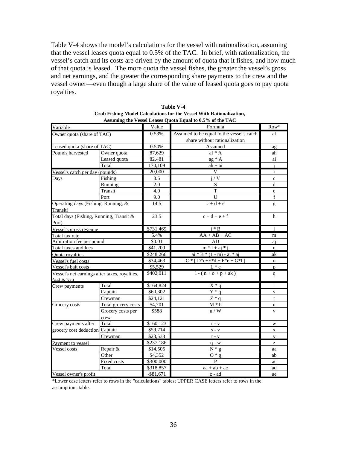Table V-4 shows the model's calculations for the vessel with rationalization, assuming that the vessel leases quota equal to 0.5% of the TAC. In brief, with rationalization, the vessel's catch and its costs are driven by the amount of quota that it fishes, and how much of that quota is leased. The more quota the vessel fishes, the greater the vessel's gross and net earnings, and the greater the corresponding share payments to the crew and the vessel owner—even though a large share of the value of leased quota goes to pay quota royalties.

|                                               |                     |              | Assuming the Vessel Leases Quota Equal to 0.5% of the TAC |              |
|-----------------------------------------------|---------------------|--------------|-----------------------------------------------------------|--------------|
| Variable                                      |                     | Value        | Formula                                                   | $Row^*$      |
| Owner quota (share of TAC)                    |                     | 0.53%        | Assumed to be equal to the vessel's catch                 | af           |
|                                               |                     |              | share without rationalization                             |              |
| Leased quota (share of TAC)                   |                     | 0.50%        | Assumed                                                   | ag           |
| Pounds harvested                              | Owner quota         | 87,629       | $af * A$                                                  | ah           |
|                                               | Leased quota        | 82,481       | $ag * A$                                                  | $\rm ai$     |
|                                               | Total               | 170,109      | $a h + ai$                                                | i            |
| Vessel's catch per day (pounds)               |                     | 20,000       | V                                                         | $\mathbf{i}$ |
| Days                                          | Fishing             | 8.5          | i / V                                                     | $\mathbf c$  |
|                                               | Running             | 2.0          | S                                                         | d            |
|                                               | Transit             | 4.0          | T                                                         | $\rm e$      |
|                                               | Port                | 9.0          | U                                                         | $\mathbf f$  |
| Operating days (Fishing, Running, &           |                     | 14.5         | $c + d + e$                                               | g            |
| Transit)                                      |                     |              |                                                           |              |
| Total days (Fishing, Running, Transit &       |                     | 23.5         | $c + d + e + f$                                           | h            |
| Port)                                         |                     |              |                                                           |              |
| Vessel's gross revenue                        |                     | \$731,469    | $i * B$                                                   | $\mathbf{1}$ |
| Total tax rate                                |                     | 5.4%         | $AA + AB + AC$                                            | m            |
| Arbitration fee per pound                     |                     | \$0.01       | AD                                                        | aj           |
| Total taxes and fees                          |                     | \$41,200     | $\frac{m*1 + aj*1}{m}$                                    | $\mathbf n$  |
| <b>Ouota</b> rovalties                        |                     | \$248,266    | $ai * B * (1 - m) - ai * ai$                              | ak           |
| Vessel's fuel costs                           |                     | \$34,463     | $C * [D * c + E * d + F * e + G * f]$                     | $\mathbf O$  |
| Vessel's bait costs                           |                     | \$5,529      | $L * c$                                                   | D            |
| Vessel's net earnings after taxes, royalties, |                     | \$402,011    | $1 - (n + o + p + ak)$                                    | q            |
| fuel & bait                                   |                     |              |                                                           |              |
| Crew payments                                 | Total               | \$164,824    | $X * q$                                                   | $\mathbf r$  |
|                                               | Captain             | \$60,302     | $\overline{Y} * q$                                        | $\mathbf S$  |
|                                               | Crewman             | \$24,121     | $Z * q$                                                   | t            |
| Grocery costs                                 | Total grocery costs | \$4,701      | $\mathbf{M} \ast \mathbf{h}$                              | u            |
|                                               | Grocery costs per   | \$588        | u / W                                                     | $\mathbf{V}$ |
|                                               | crew                |              |                                                           |              |
| Crew payments after                           | Total               | \$160,123    | $\mathbf{r}$ - $\mathbf{v}$                               | W            |
| grocery cost deduction Captain                |                     | \$59,714     | $S - V$                                                   | $\mathbf X$  |
|                                               | Crewman             | \$23,533     | $t - v$                                                   | y            |
| Payment to vessel                             |                     | \$237,186    | $q - w$                                                   | z            |
| Vessel costs                                  | Repair &            | \$14,505     | $N * q$                                                   | aa           |
|                                               | Other               | \$4,352      | $0 * g$                                                   | ab           |
|                                               | Fixed costs         | \$300,000    | $\mathbf{P}$                                              | ac           |
|                                               | Total               | \$318,857    | $aa + ab + ac$                                            | ad           |
| Vessel owner's profit                         |                     | $-$ \$81,671 | $z - ad$                                                  | ae           |

**Table V-4 Crab Fishing Model Calculations for the Vessel With Rationalization, Assuming the Vessel Leases Quota Equal to 0.5% of the TAC**

\*Lower case letters refer to rows in the "calculations" tables; UPPER CASE letters refer to rows in the assumptions table.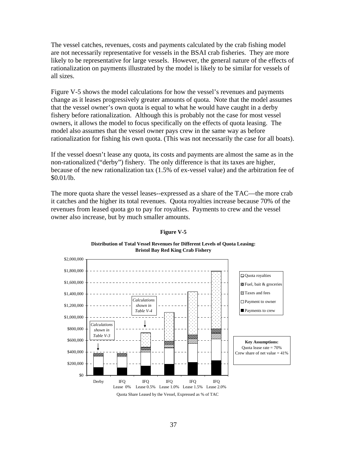The vessel catches, revenues, costs and payments calculated by the crab fishing model are not necessarily representative for vessels in the BSAI crab fisheries. They are more likely to be representative for large vessels. However, the general nature of the effects of rationalization on payments illustrated by the model is likely to be similar for vessels of all sizes.

Figure V-5 shows the model calculations for how the vessel's revenues and payments change as it leases progressively greater amounts of quota. Note that the model assumes that the vessel owner's own quota is equal to what he would have caught in a derby fishery before rationalization. Although this is probably not the case for most vessel owners, it allows the model to focus specifically on the effects of quota leasing. The model also assumes that the vessel owner pays crew in the same way as before rationalization for fishing his own quota. (This was not necessarily the case for all boats).

If the vessel doesn't lease any quota, its costs and payments are almost the same as in the non-rationalized ("derby") fishery. The only difference is that its taxes are higher, because of the new rationalization tax (1.5% of ex-vessel value) and the arbitration fee of \$0.01/lb.

The more quota share the vessel leases--expressed as a share of the TAC—the more crab it catches and the higher its total revenues. Quota royalties increase because 70% of the revenues from leased quota go to pay for royalties. Payments to crew and the vessel owner also increase, but by much smaller amounts.



### **Figure V-5**

**Distribution of Total Vessel Revenues for Different Levels of Quota Leasing: Bristol Bay Red King Crab Fishery**



37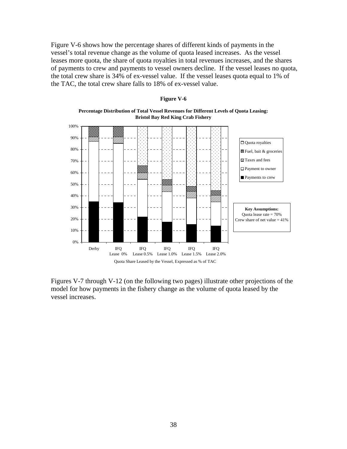Figure V-6 shows how the percentage shares of different kinds of payments in the vessel's total revenue change as the volume of quota leased increases. As the vessel leases more quota, the share of quota royalties in total revenues increases, and the shares of payments to crew and payments to vessel owners decline. If the vessel leases no quota, the total crew share is 34% of ex-vessel value. If the vessel leases quota equal to 1% of the TAC, the total crew share falls to 18% of ex-vessel value.



### **Figure V-6**

**Percentage Distribution of Total Vessel Revenues for Different Levels of Quota Leasing: Bristol Bay Red King Crab Fishery**

Figures V-7 through V-12 (on the following two pages) illustrate other projections of the model for how payments in the fishery change as the volume of quota leased by the vessel increases.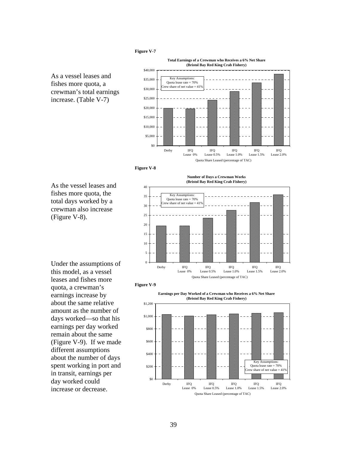### **Figure V-7**







As the vessel leases and fishes more quota, the total days worked by a crewman also increase (Figure V-8).





**Figure V-9** 



this model, as a vessel leases and fishes more quota, a crewman's earnings increase by about the same relative amount as the number of days worked—so that his earnings per day worked remain about the same (Figure V-9). If we made different assumptions about the number of days spent working in port and in transit, earnings per day worked could increase or decrease.

Under the assumptions of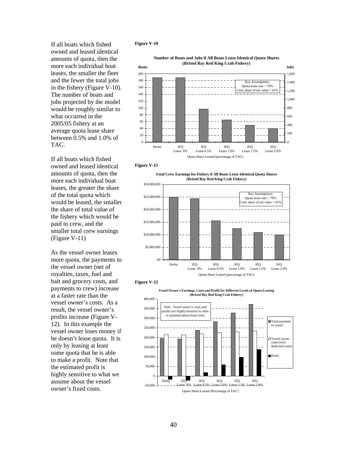If all boats which fished owned and leased identical amounts of quota, then the more each individual boat leases, the smaller the fleet and the fewer the total jobs in the fishery (Figure V-10). The number of boats and jobs projected by the model would be roughly similar to what occurred in the 2005/05 fishery at an average quota lease share between 0.5% and 1.0% of TAC.

If all boats which fished owned and leased identical amounts of quota, then the more each individual boat leases, the greater the share of the total quota which would be leased, the smaller the share of total value of the fishery which would be paid to crew, and the smaller total crew earnings (Figure V-11)

As the vessel owner leases more quota, the payments to the vessel owner (net of royalties, taxes, fuel and bait and grocery costs, and payments to crew) increase at a faster rate than the vessel owner's costs. As a result, the vessel owner's profits increase (Figure V-12). In this example the vessel owner loses money if he doesn't lease quota. It is only by leasing at least some quota that he is able to make a profit. Note that the estimated profit is highly sensitive to what we assume about the vessel owner's fixed costs.

### **Figure V-10**







**Total Crew Earnings for Fishery if All Boats Lease Identical Quota Shares (Bristol Bay Red King Crab Fishery)**





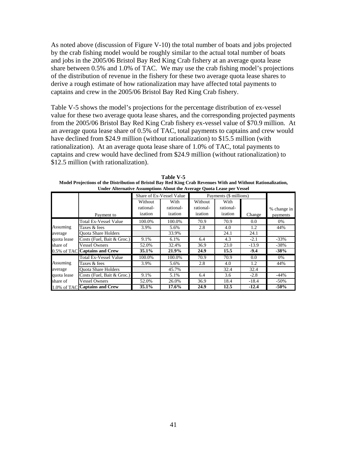As noted above (discussion of Figure V-10) the total number of boats and jobs projected by the crab fishing model would be roughly similar to the actual total number of boats and jobs in the 2005/06 Bristol Bay Red King Crab fishery at an average quota lease share between 0.5% and 1.0% of TAC. We may use the crab fishing model's projections of the distribution of revenue in the fishery for these two average quota lease shares to derive a rough estimate of how rationalization may have affected total payments to captains and crew in the 2005/06 Bristol Bay Red King Crab fishery.

Table V-5 shows the model's projections for the percentage distribution of ex-vessel value for these two average quota lease shares, and the corresponding projected payments from the 2005/06 Bristol Bay Red King Crab fishery ex-vessel value of \$70.9 million. At an average quota lease share of 0.5% of TAC, total payments to captains and crew would have declined from \$24.9 million (without rationalization) to \$15.5 million (with rationalization). At an average quota lease share of 1.0% of TAC, total payments to captains and crew would have declined from \$24.9 million (without rationalization) to \$12.5 million (with rationalization).

**Table V-5 Model Projections of the Distribution of Bristol Bay Red King Crab Revenues With and Without Rationalization, Under Alternative Assumptions About the Average Quota Lease per Vessel**

|             | Share of Ex-Vessel Value      |           |           |           |                        |         |             |  |  |  |
|-------------|-------------------------------|-----------|-----------|-----------|------------------------|---------|-------------|--|--|--|
|             |                               |           |           |           | Payments (\$ millions) |         |             |  |  |  |
|             |                               | Without   | With      | Without   | With                   |         |             |  |  |  |
|             |                               | rational- | rational- | rational- | rational-              |         | % change in |  |  |  |
|             | Payment to                    | ization   | ization   | ization   | ization                | Change  | payments    |  |  |  |
|             | Total Ex-Vessel Value         | 100.0%    | 100.0%    | 70.9      | 70.9                   | 0.0     | 0%          |  |  |  |
| Assuming    | Taxes & fees                  | 3.9%      | 5.6%      | 2.8       | 4.0                    | 1.2     | 44%         |  |  |  |
| average     | <b>Ouota Share Holders</b>    |           | 33.9%     |           | 24.1                   | 24.1    |             |  |  |  |
| quota lease | Costs (Fuel, Bait & Groc.)    | 9.1%      | 6.1%      | 6.4       | 4.3                    | $-2.1$  | $-33\%$     |  |  |  |
| share of    | <b>Vessel Owners</b>          | 52.0%     | 32.4%     | 36.9      | 23.0                   | $-13.9$ | $-38%$      |  |  |  |
|             | 0.5% of TAC Captains and Crew | 35.1%     | 21.9%     | 24.9      | 15.5                   | $-9.4$  | $-38%$      |  |  |  |
|             | <b>Total Ex-Vessel Value</b>  | 100.0%    | 100.0%    | 70.9      | 70.9                   | 0.0     | 0%          |  |  |  |
| Assuming    | Taxes & fees                  | 3.9%      | 5.6%      | 2.8       | 4.0                    | 1.2     | 44%         |  |  |  |
| average     | <b>Ouota Share Holders</b>    |           | 45.7%     |           | 32.4                   | 32.4    |             |  |  |  |
| quota lease | Costs (Fuel, Bait & Groc.)    | 9.1%      | 5.1%      | 6.4       | 3.6                    | $-2.8$  | $-44%$      |  |  |  |
| share of    | Vessel Owners                 | 52.0%     | 26.0%     | 36.9      | 18.4                   | $-18.4$ | $-50\%$     |  |  |  |
|             | 1.0% of TAC Captains and Crew | 35.1%     | 17.6%     | 24.9      | 12.5                   | $-12.4$ | $-50%$      |  |  |  |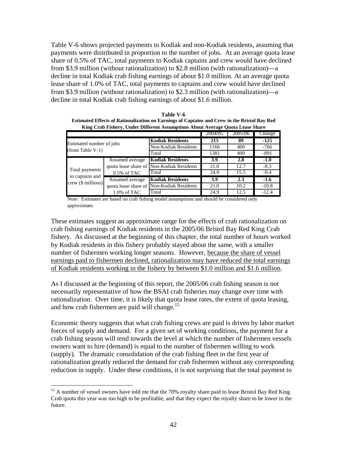Table V-6 shows projected payments to Kodiak and non-Kodiak residents, assuming that payments were distributed in proportion to the number of jobs. At an average quota lease share of 0.5% of TAC, total payments to Kodiak captains and crew would have declined from \$3.9 million (without rationalization) to \$2.8 million (with rationalization)—a decline in total Kodiak crab fishing earnings of about \$1.0 million. At an average quota lease share of 1.0% of TAC, total payments to captains and crew would have declined from \$3.9 million (without rationalization) to \$2.3 million (with rationalization)—a decline in total Kodiak crab fishing earnings of about \$1.6 million.

|                                           |                 | King Crab Fishery, Under Different Assumptions About Average Quota Lease Share |         |         |         |
|-------------------------------------------|-----------------|--------------------------------------------------------------------------------|---------|---------|---------|
|                                           |                 |                                                                                | 2004/05 | 2005/06 | Change  |
| Estimated number of jobs                  |                 | <b>Kodiak Residents</b>                                                        | 215     | 89      | $-125$  |
| (from Table V-1)                          |                 | Non-Kodiak Residents                                                           | 1166    | 400     | $-766$  |
|                                           |                 | Total                                                                          | 1381    | 490     | $-891$  |
|                                           | Assumed average | <b>Kodiak Residents</b>                                                        | 3.9     | 2.8     | $-1.0$  |
|                                           |                 | quota lease share of Non-Kodiak Residents                                      | 21.0    | 12.7    | $-8.3$  |
| Total payments                            | $0.5\%$ of TAC  | Total                                                                          | 24.9    | 15.5    | $-9.4$  |
| to captains and<br>$crew$ ( $$$ millions) | Assumed average | <b>Kodiak Residents</b>                                                        | 3.9     | 2.3     | $-1.6$  |
|                                           |                 | quota lease share of Non-Kodiak Residents                                      | 21.0    | 10.2    | $-10.8$ |
|                                           | 1.0% of TAC     | Total                                                                          | 24.9    | 12.5    | $-12.4$ |

**Table V-6 Estimated Effects of Rationalization on Earnings of Captains and Crew in the Bristol Bay Red**  King Crab Fishery, Under Different Assumptions About Average Quote Lease Share

Note: Estimates are based on crab fishing model assumptions and should be considered only approximate.

These estimates suggest an approximate range for the effects of crab rationalization on crab fishing earnings of Kodiak residents in the 2005/06 Bristol Bay Red King Crab fishery. As discussed at the beginning of this chapter, the total number of hours worked by Kodiak residents in this fishery probably stayed about the same, with a smaller number of fishermen working longer seasons. However, because the share of vessel earnings paid to fishermen declined, rationalization may have reduced the total earnings of Kodiak residents working in the fishery by between \$1.0 million and \$1.6 million.

As I discussed at the beginning of this report, the 2005/06 crab fishing season is not necessarily representative of how the BSAI crab fisheries may change over time with rationalization. Over time, it is likely that quota lease rates, the extent of quota leasing, and how crab fishermen are paid will change.<sup>15</sup>

Economic theory suggests that what crab fishing crews are paid is driven by labor market forces of supply and demand. For a given set of working conditions, the payment for a crab fishing season will tend towards the level at which the number of fishermen vessels owners want to hire (demand) is equal to the number of fishermen willing to work (supply). The dramatic consolidation of the crab fishing fleet in the first year of rationalization greatly reduced the demand for crab fishermen without any corresponding reduction in supply. Under these conditions, it is not surprising that the total payment to

 $\overline{a}$ 

<sup>&</sup>lt;sup>15</sup> A number of vessel owners have told me that the 70% royalty share paid to lease Bristol Bay Red King Crab quota this year was too high to be profitable, and that they expect the royalty share to be lower in the future.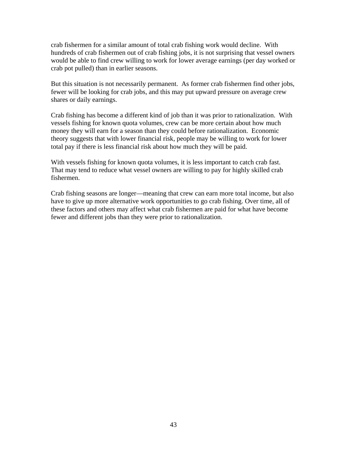crab fishermen for a similar amount of total crab fishing work would decline. With hundreds of crab fishermen out of crab fishing jobs, it is not surprising that vessel owners would be able to find crew willing to work for lower average earnings (per day worked or crab pot pulled) than in earlier seasons.

But this situation is not necessarily permanent. As former crab fishermen find other jobs, fewer will be looking for crab jobs, and this may put upward pressure on average crew shares or daily earnings.

Crab fishing has become a different kind of job than it was prior to rationalization. With vessels fishing for known quota volumes, crew can be more certain about how much money they will earn for a season than they could before rationalization. Economic theory suggests that with lower financial risk, people may be willing to work for lower total pay if there is less financial risk about how much they will be paid.

With vessels fishing for known quota volumes, it is less important to catch crab fast. That may tend to reduce what vessel owners are willing to pay for highly skilled crab fishermen.

Crab fishing seasons are longer—meaning that crew can earn more total income, but also have to give up more alternative work opportunities to go crab fishing. Over time, all of these factors and others may affect what crab fishermen are paid for what have become fewer and different jobs than they were prior to rationalization.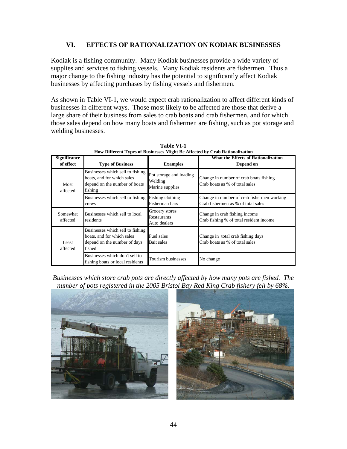## **VI. EFFECTS OF RATIONALIZATION ON KODIAK BUSINESSES**

Kodiak is a fishing community. Many Kodiak businesses provide a wide variety of supplies and services to fishing vessels. Many Kodiak residents are fishermen. Thus a major change to the fishing industry has the potential to significantly affect Kodiak businesses by affecting purchases by fishing vessels and fishermen.

As shown in Table VI-1, we would expect crab rationalization to affect different kinds of businesses in different ways. Those most likely to be affected are those that derive a large share of their business from sales to crab boats and crab fishermen, and for which those sales depend on how many boats and fishermen are fishing, such as pot storage and welding businesses.

| <b>Significance</b><br>of effect | <b>Type of Business</b>                                                                                    | <b>Examples</b>                                       | ном внити турез ог вазнизже мидие ве лиссией бу стаб капонандацон<br>What the Effects of Rationalization<br>Depend on |
|----------------------------------|------------------------------------------------------------------------------------------------------------|-------------------------------------------------------|-----------------------------------------------------------------------------------------------------------------------|
| Most<br>affected                 | Businesses which sell to fishing<br>boats, and for which sales<br>depend on the number of boats<br>fishing | Pot storage and loading<br>Welding<br>Marine supplies | Change in number of crab boats fishing<br>Crab boats as % of total sales                                              |
|                                  | Businesses which sell to fishing Fishing clothing<br>crews                                                 | Fisherman bars                                        | Change in number of crab fishermen working<br>Crab fishermen as % of total sales                                      |
| Somewhat<br>affected             | Businesses which sell to local<br>residents                                                                | Grocery stores<br><b>Restaurants</b><br>Auto dealers  | Change in crab fishing income.<br>Crab fishing % of total resident income                                             |
| Least<br>affected                | Businesses which sell to fishing<br>boats, and for which sales<br>depend on the number of days<br>fished   | Fuel sales<br>Bait sales                              | Change in total crab fishing days<br>Crab boats as % of total sales                                                   |
|                                  | Businesses which don't sell to<br>fishing boats or local residents                                         | Tourism businesses                                    | No change                                                                                                             |

**Table VI-1 How Different Types of Businesses Might Be Affected by Crab Rationalization**

*Businesses which store crab pots are directly affected by how many pots are fished. The number of pots registered in the 2005 Bristol Bay Red King Crab fishery fell by 68%.* 



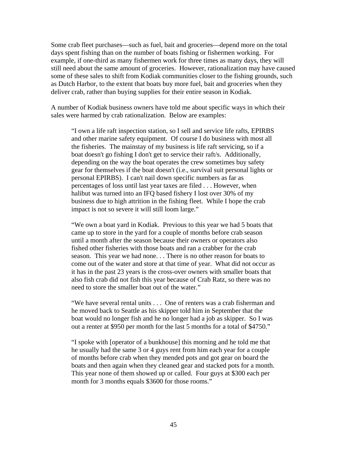Some crab fleet purchases—such as fuel, bait and groceries—depend more on the total days spent fishing than on the number of boats fishing or fishermen working. For example, if one-third as many fishermen work for three times as many days, they will still need about the same amount of groceries. However, rationalization may have caused some of these sales to shift from Kodiak communities closer to the fishing grounds, such as Dutch Harbor, to the extent that boats buy more fuel, bait and groceries when they deliver crab, rather than buying supplies for their entire season in Kodiak.

A number of Kodiak business owners have told me about specific ways in which their sales were harmed by crab rationalization. Below are examples:

"I own a life raft inspection station, so I sell and service life rafts, EPIRBS and other marine safety equipment. Of course I do business with most all the fisheries. The mainstay of my business is life raft servicing, so if a boat doesn't go fishing I don't get to service their raft/s. Additionally, depending on the way the boat operates the crew sometimes buy safety gear for themselves if the boat doesn't (i.e., survival suit personal lights or personal EPIRBS). I can't nail down specific numbers as far as percentages of loss until last year taxes are filed . . . However, when halibut was turned into an IFQ based fishery I lost over 30% of my business due to high attrition in the fishing fleet. While I hope the crab impact is not so severe it will still loom large."

"We own a boat yard in Kodiak. Previous to this year we had 5 boats that came up to store in the yard for a couple of months before crab season until a month after the season because their owners or operators also fished other fisheries with those boats and ran a crabber for the crab season. This year we had none. . . There is no other reason for boats to come out of the water and store at that time of year. What did not occur as it has in the past 23 years is the cross-over owners with smaller boats that also fish crab did not fish this year because of Crab Ratz, so there was no need to store the smaller boat out of the water."

"We have several rental units . . . One of renters was a crab fisherman and he moved back to Seattle as his skipper told him in September that the boat would no longer fish and he no longer had a job as skipper. So I was out a renter at \$950 per month for the last 5 months for a total of \$4750."

"I spoke with [operator of a bunkhouse] this morning and he told me that he usually had the same 3 or 4 guys rent from him each year for a couple of months before crab when they mended pots and got gear on board the boats and then again when they cleaned gear and stacked pots for a month. This year none of them showed up or called. Four guys at \$300 each per month for 3 months equals \$3600 for those rooms."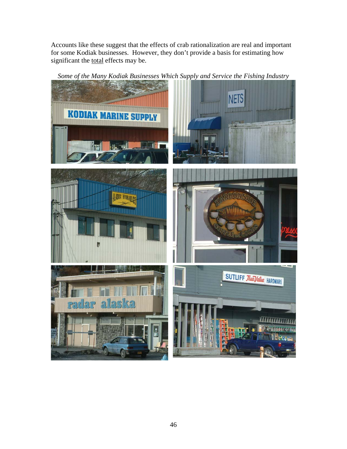Accounts like these suggest that the effects of crab rationalization are real and important for some Kodiak businesses. However, they don't provide a basis for estimating how significant the total effects may be.



*Some of the Many Kodiak Businesses Which Supply and Service the Fishing Industry*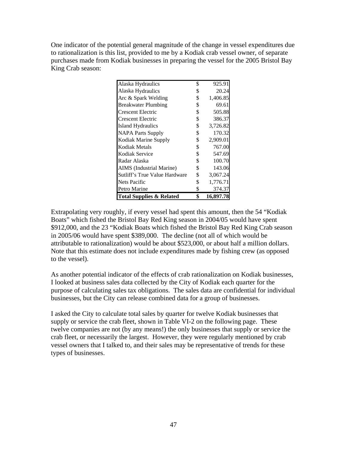One indicator of the potential general magnitude of the change in vessel expenditures due to rationalization is this list, provided to me by a Kodiak crab vessel owner, of separate purchases made from Kodiak businesses in preparing the vessel for the 2005 Bristol Bay King Crab season:

| <b>Total Supplies &amp; Related</b> | \$ | 16,897.78 |
|-------------------------------------|----|-----------|
| Petro Marine                        | \$ | 374.37    |
| Nets Pacific                        | \$ | 1,776.71  |
| Sutliff's True Value Hardware       | S  | 3,067.24  |
| AIMS (Industrial Marine)            | \$ | 143.06    |
| Radar Alaska                        | \$ | 100.70    |
| Kodiak Service                      | \$ | 547.69    |
| Kodiak Metals                       | \$ | 767.00    |
| Kodiak Marine Supply                | \$ | 2,909.01  |
| <b>NAPA Parts Supply</b>            | \$ | 170.32    |
| Island Hydraulics                   | \$ | 3,726.82  |
| Crescent Electric                   | \$ | 386.37    |
| Crescent Electric                   | \$ | 505.88    |
| <b>Breakwater Plumbing</b>          | \$ | 69.61     |
| Arc & Spark Welding                 | \$ | 1,406.85  |
| Alaska Hydraulics                   | \$ | 20.24     |
| Alaska Hydraulics                   | \$ | 925.91    |

Extrapolating very roughly, if every vessel had spent this amount, then the 54 "Kodiak Boats" which fished the Bristol Bay Red King season in 2004/05 would have spent \$912,000, and the 23 "Kodiak Boats which fished the Bristol Bay Red King Crab season in 2005/06 would have spent \$389,000. The decline (not all of which would be attributable to rationalization) would be about \$523,000, or about half a million dollars. Note that this estimate does not include expenditures made by fishing crew (as opposed to the vessel).

As another potential indicator of the effects of crab rationalization on Kodiak businesses, I looked at business sales data collected by the City of Kodiak each quarter for the purpose of calculating sales tax obligations. The sales data are confidential for individual businesses, but the City can release combined data for a group of businesses.

I asked the City to calculate total sales by quarter for twelve Kodiak businesses that supply or service the crab fleet, shown in Table VI-2 on the following page. These twelve companies are not (by any means!) the only businesses that supply or service the crab fleet, or necessarily the largest. However, they were regularly mentioned by crab vessel owners that I talked to, and their sales may be representative of trends for these types of businesses.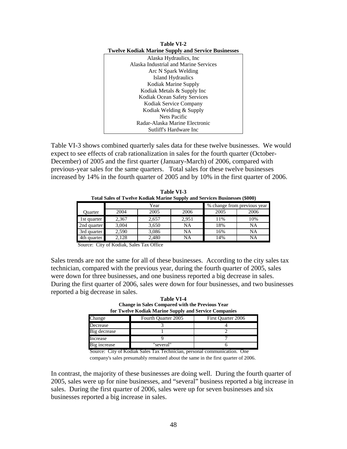| <b>Twelve Kodiak Marine Supply and Service Businesses</b> |
|-----------------------------------------------------------|
| Alaska Hydraulics, Inc.                                   |
| Alaska Industrial and Marine Services                     |
| Arc N Spark Welding                                       |
| <b>Island Hydraulics</b>                                  |
| Kodiak Marine Supply                                      |
| Kodiak Metals & Supply Inc                                |
| Kodiak Ocean Safety Services                              |
| Kodiak Service Company                                    |
| Kodiak Welding & Supply                                   |
| <b>Nets Pacific</b>                                       |
| Radar-Alaska Marine Electronic                            |
| Sutliff's Hardware Inc                                    |
|                                                           |

**Table VI-2** 

Table VI-3 shows combined quarterly sales data for these twelve businesses. We would expect to see effects of crab rationalization in sales for the fourth quarter (October-December) of 2005 and the first quarter (January-March) of 2006, compared with previous-year sales for the same quarters. Total sales for these twelve businesses increased by 14% in the fourth quarter of 2005 and by 10% in the first quarter of 2006.

| Total Sales of Twelve Kodiak Marine Supply and Services Businesses (\$000) |       |       |                             |      |      |  |  |  |  |  |  |
|----------------------------------------------------------------------------|-------|-------|-----------------------------|------|------|--|--|--|--|--|--|
|                                                                            |       | Year  | % change from previous year |      |      |  |  |  |  |  |  |
| Ouarter                                                                    | 2004  | 2005  | 2006                        | 2005 | 2006 |  |  |  |  |  |  |
| 1st quarter                                                                | 2.367 | 2.657 | 2.951                       | 11%  | 10%  |  |  |  |  |  |  |
| 2nd quarter                                                                | 3,004 | 3.650 | NA                          | 18%  | NA   |  |  |  |  |  |  |
| 3rd quarter                                                                | 2.590 | 3.086 | NA                          | 16%  | NA   |  |  |  |  |  |  |
| 4th quarter                                                                | 2.128 | 2.480 | NA                          | 14%  | NA   |  |  |  |  |  |  |

**Table VI-3 Total Sales of Twelve Kodiak Marine Supply and Services Businesses (\$000)**

Source: City of Kodiak, Sales Tax Office

Sales trends are not the same for all of these businesses. According to the city sales tax technician, compared with the previous year, during the fourth quarter of 2005, sales were down for three businesses, and one business reported a big decrease in sales. During the first quarter of 2006, sales were down for four businesses, and two businesses reported a big decrease in sales.

**Table VI-4 Change in Sales Compared with the Previous Year for Twelve Kodiak Marine Supply and Service Companies**

|              | TOT TWELVE INOURIN PLATTING Supply and Set Vice Companies |                    |  |  |  |  |  |  |  |  |  |  |
|--------------|-----------------------------------------------------------|--------------------|--|--|--|--|--|--|--|--|--|--|
| Change       | Fourth Quarter 2005                                       | First Quarter 2006 |  |  |  |  |  |  |  |  |  |  |
| Decrease     |                                                           |                    |  |  |  |  |  |  |  |  |  |  |
| Big decrease |                                                           |                    |  |  |  |  |  |  |  |  |  |  |
| Increase     |                                                           |                    |  |  |  |  |  |  |  |  |  |  |
| Big increase | "several"                                                 |                    |  |  |  |  |  |  |  |  |  |  |

Source: City of Kodiak Sales Tax Technician, personal communication. One company's sales presumably remained about the same in the first quarter of 2006.

In contrast, the majority of these businesses are doing well. During the fourth quarter of 2005, sales were up for nine businesses, and "several" business reported a big increase in sales. During the first quarter of 2006, sales were up for seven businesses and six businesses reported a big increase in sales.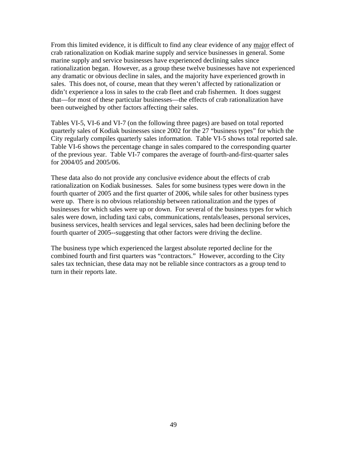From this limited evidence, it is difficult to find any clear evidence of any major effect of crab rationalization on Kodiak marine supply and service businesses in general. Some marine supply and service businesses have experienced declining sales since rationalization began. However, as a group these twelve businesses have not experienced any dramatic or obvious decline in sales, and the majority have experienced growth in sales. This does not, of course, mean that they weren't affected by rationalization or didn't experience a loss in sales to the crab fleet and crab fishermen. It does suggest that—for most of these particular businesses—the effects of crab rationalization have been outweighed by other factors affecting their sales.

Tables VI-5, VI-6 and VI-7 (on the following three pages) are based on total reported quarterly sales of Kodiak businesses since 2002 for the 27 "business types" for which the City regularly compiles quarterly sales information. Table VI-5 shows total reported sale. Table VI-6 shows the percentage change in sales compared to the corresponding quarter of the previous year. Table VI-7 compares the average of fourth-and-first-quarter sales for 2004/05 and 2005/06.

These data also do not provide any conclusive evidence about the effects of crab rationalization on Kodiak businesses. Sales for some business types were down in the fourth quarter of 2005 and the first quarter of 2006, while sales for other business types were up. There is no obvious relationship between rationalization and the types of businesses for which sales were up or down. For several of the business types for which sales were down, including taxi cabs, communications, rentals/leases, personal services, business services, health services and legal services, sales had been declining before the fourth quarter of 2005--suggesting that other factors were driving the decline.

The business type which experienced the largest absolute reported decline for the combined fourth and first quarters was "contractors." However, according to the City sales tax technician, these data may not be reliable since contractors as a group tend to turn in their reports late.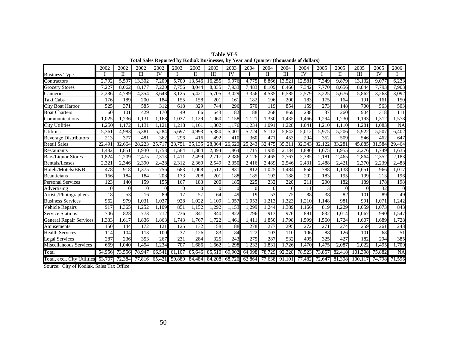| <b>Table VI-5</b>                                                                     |
|---------------------------------------------------------------------------------------|
| Total Sales Reported by Kodiak Businesses, by Year and Quarter (thousands of dollars) |

|                                    | 2002     | 2002     | 2002               | 2002             | 2003               | 2003            | 2003                        | 2003            | 2004   | 2004     | 2004                    | 2004                   | 2005              | 2005     | 2005                    | 2005            | 2006      |
|------------------------------------|----------|----------|--------------------|------------------|--------------------|-----------------|-----------------------------|-----------------|--------|----------|-------------------------|------------------------|-------------------|----------|-------------------------|-----------------|-----------|
| <b>Business Type</b>               |          | Н        | Ш                  | $\overline{IV}$  |                    | Н               | Ш                           | $\overline{IV}$ |        | Н        | $\overline{\mathbf{H}}$ | $\overline{\text{IV}}$ |                   | П        | $\overline{\mathbf{H}}$ | $\overline{IV}$ |           |
| Contractors                        | 2,792    | 5,59     | 13,302             | ,209             | 5.700              | 13,546          | 16,255                      | 9,976           | 4,775  | 8,866    | 13.52                   | 12,58                  | 7,349             | 9.879    | 13.132                  | 9,07            | 6,233     |
| Grocery Stores                     | 7,227    | 8,062    | 8.177              | 7,220            | 7,756              | 8,044           | 8,335                       | 7,933           | 7,483  | 8.109    | 8,466                   | 7,342                  | 7,770             | 8,656    | 8,844                   | 7,793           | 7,903     |
| Canneries                          | 2,286    | 4,789    | 4,354              | 3,648            | $\overline{3,125}$ | 5,421           | 5,705                       | 3,029           | 3,356  | 4,535    | 6,585                   | 2,579                  | 3,225             | 5,676    | 5,862                   | 3,263           | 3,092     |
| Taxi Cabs                          | 176      | 189      | 200                | 184              | 155                | 158             | 201                         | 161             | 182    | 196      | 200                     | 183                    | 175               | 164      | 191                     | 161             | 150       |
| <b>City Boat Harbor</b>            | 525      | 371      | 585                | $\overline{312}$ | 618                | 329             | 744                         | 296             | 570    | 119      | 854                     | 159                    | $\overline{273}$  | 148      | 700                     | 563             | 503       |
| <b>Boat Charters</b>               | 60       | 101      | 429                | 170              | 49                 | 66              | 643                         | 82              | 88     | 268      | 869                     | 238                    | 37                | 260      | 904                     | 318             | 111       |
| Communications                     | 1.025    | .236     | .131               | .168             | 1.037              | .129            | .060                        | .158            | .121   | .330     | .435                    | .466                   | .294              | .230     | 1.193                   | .312            | ,578      |
| <b>City Utilities</b>              | .250     | 1.172    | .131               | 1.121            | 1.218              | 1.161           | .302                        | 1,176           | .234   | 1.091    | .228                    | 1.04                   | 1,210             | 1.110    | 1,281                   | 1.083           | <b>NA</b> |
| Utilities                          | 5,36     | 4,983    | 5,381              | 5,284            | 5.69               | 4,993           | 5,380                       | 5.001           | 5,724  | 5.112    | 5.843                   | 5.01                   | 5,975             | 5,206    | 5,922                   | 5,507           | 6,402     |
| <b>Beverage Distributors</b>       | 213      | 377      | 481                | 362              | 296                | 416             | 492                         | 410             | 360    | 471      | 453                     | 294                    | 352               | 509      | 546                     | 462             | 647       |
| Retail Sales                       | 22,49    | 32,664   | 28,223             | 25,71            | 23,75              | 35.135          | 28,864                      | 26,620          | 25,243 | 32.475   | 35,31                   | 32,343                 | 32,122            | 33,281   | 45.885                  | 31,584          | 29,464    |
| Restaurants                        | 1.482    | 1,85     | 1,930              | 1.753            | 1.584              | .864            | 2.094                       | .864            | 1.715  | .985     | 2.134                   | 1,890                  | 1.675             | .955     | 2,276                   | .749            | .635      |
| Bars/Liquor Stores                 | 1,824    | 2,209    | 2,475              | 2,313            | 1,41               | 2,499           | 2,717                       | 2,386           | 2,126  | 2,465    | 2,767                   | 2,385                  | $2,\overline{18}$ | 2,465    | 2,864                   | 2,352           | 2,183     |
| Rentals/Leases                     | 2,321    | 2,346    | 2,390              | 2,428            | 2,312              | 2,360           | 2,549                       | 2,350           | 2,416  | 2.489    | 2,546                   | 2,43                   | 2,488             | 2,421    | 2,370                   | 2,239           | 2,488     |
| Hotels/Motels/B&B                  | 478      | 918      | $\overline{1,375}$ | 756              | 683                | 1,068           | 1,512                       | 831             | 812    | 1,025    | 1,484                   | 858                    | 788               | 1,138    | 1,651                   | 966             | 1,017     |
| Beauticians                        | 166      | 184      | 184                | 208              | 173                | 208             | 201                         | 188             | 185    | 192      | 188                     | 202                    | 183               | 195      | 199                     | 213             | 196       |
| <b>Personal Services</b>           | 123      | 140      | 159                | 155              | 167                | 183             | 200                         | 185             | 225    | 232      | 220                     | 211                    | 200               | 182      | 189                     | 178             | 198       |
| Advertising                        | $\Omega$ | $\Omega$ | $\Omega$           | $\Omega$         | $\Omega$           | $\theta$        | $\Omega$                    | $\Omega$        |        | $\Omega$ | $\Omega$                | 11                     | 3                 | $\Omega$ | $\Omega$                | $\overline{32}$ |           |
| Artists/Photographers              | 18       | 53       | 16                 | 89               | 17                 | $\overline{57}$ | 64                          | 49              | 19     | 53       | 75                      | 88                     | 38                | 82       | 101                     | 89              | 49        |
| <b>Business Services</b>           | 962      | 979      | 1,031              | .037             | 928                | .022            | .109                        | .057            | .053   | .213     | .323                    | ,210                   | 1.148             | 981      | 991                     | 1.071           | ,242      |
| Vehicle Repairs                    | 917      | .365     | .252               | 1.109            | 85                 | .152            | .292                        | .153            | .299   | .244     | .389                    | 1.166                  | 819               | .229     | 1.059                   | 1.073           | 843       |
| <b>Service Stations</b>            | 706      | 828      | 773                | 712              | 736                | 841             | 840                         | 822             | 796    | 913      | 976                     | 891                    | 832               | .014     | 1.067                   | 990             | 1,547     |
| <b>General Repair Services</b>     | .333     | ,617     | ,836               | ,863             | ,743               | ,767            | ,722                        | .461            | ,411   | ,850     | ,798                    | ,599                   | 1,560             | ,724     | 1,607                   | .689            | 1,728     |
| Amusements                         | 150      | 144      | 172                | 121              | 125                | 132             | 158                         | 88              | 278    | 277      | 295                     | 272                    | 271               | 274      | 259                     | 261             | 243       |
| <b>Health Services</b>             | 114      | 104      | 113                | 100              | 37                 | 126             | 83                          | 84              | 122    | 103      | 110                     | 106                    | 88                | 126      | 101                     | 68              | 51        |
| Legal Services                     | 287      | 236      | 353                | 267              | 231                | 284             | 325                         | 243             | 275    | 287      | 532                     | 495                    | 325               | 427      | 182                     | 294             | 385       |
| Miscellaneous Services             | 669      | 1.040    | 1,494              | ,234             | 707                | .686            | .662                        | .298            | ,232   | 1,831    | 1,726                   | ,470                   | l.475             | 2,087    | 2,022                   | .495            | 1,709     |
| Total                              | 54,956   | 73.556   | 78,947             | 66,541           | 61.107             | 85,646          | 85,510                      | 69,902          | 64,098 | 78,729   | 92,328                  | 78,523                 | 73,857            | 82,418   | 101.398                 | 75,882          | <b>NA</b> |
| Total, excl. City Utilities 53,707 |          | 72,384   | 77,816             | 65,421           |                    |                 | 59,889 84,484 84,208 68,726 |                 | 62,864 |          | 77,638 91,101           | 77,482                 | 72,647            |          | 81,308 100,117          | 74,798          | 71.596    |

Source: City of Kodiak, Sales Tax Office.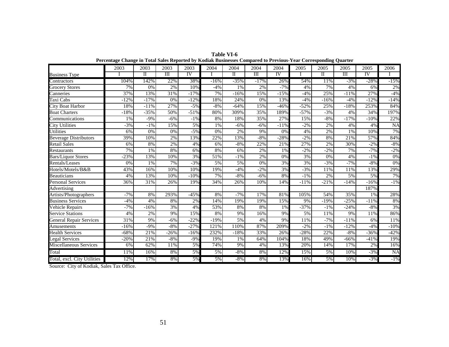|                                  | 2003   | 2003        | 2003                    | 2003      | 2004   | 2004                | 2004   | 2004      | 2005   | 2005        | 2005                    | 2005   | 2006      |
|----------------------------------|--------|-------------|-------------------------|-----------|--------|---------------------|--------|-----------|--------|-------------|-------------------------|--------|-----------|
| <b>Business Type</b>             |        | $_{\rm II}$ | $\overline{\mathbf{H}}$ | <b>IV</b> |        | $\overline{\rm II}$ | Ш      | <b>IV</b> |        | $_{\rm II}$ | $\overline{\mathbf{m}}$ | IV     |           |
| Contractors                      | 104%   | 142%        | 22%                     | 38%       | $-16%$ | $-35%$              | $-17%$ | 26%       | 54%    | 11%         | $-3%$                   | $-28%$ | $-15%$    |
| <b>Grocery Stores</b>            | 7%     | 0%          | 2%                      | 10%       | $-4%$  | 1%                  | 2%     | $-7%$     | 4%     | 7%          | 4%                      | 6%     | 2%        |
| $\overline{\mathrm{C}}$ anneries | 37%    | 13%         | 31%                     | $-17%$    | 7%     | $-16%$              | 15%    | $-15%$    | $-4%$  | 25%         | $-11%$                  | 27%    | $-4%$     |
| Taxi Cabs                        | $-12%$ | $-17%$      | 0%                      | $-12%$    | 18%    | 24%                 | 0%     | 13%       | $-4%$  | $-16%$      | $-4%$                   | $-12%$ | $-14%$    |
| <b>City Boat Harbor</b>          | 18%    | $-11%$      | 27%                     | $-5%$     | $-8%$  | $-64%$              | 15%    | $-46%$    | $-52%$ | 25%         | $-18%$                  | 253%   | 84%       |
| <b>Boat Charters</b>             | $-18%$ | $-35%$      | 50%                     | $-51%$    | 80%    | 309%                | 35%    | 189%      | $-57%$ | $-3%$       | 4%                      | 34%    | 197%      |
| Communications                   | 1%     | $-9%$       | $-6%$                   | $-1%$     | 8%     | 18%                 | 35%    | 27%       | 15%    | $-8%$       | $-17%$                  | $-10%$ | 22%       |
| <b>City Utilities</b>            | $-3%$  | $-1\%$      | 15%                     | 5%        | 1%     | $-6%$               | $-6%$  | $-11%$    | $-2%$  | 2%          | 4%                      | 4%     | <b>NA</b> |
| Utilities                        | 6%     | 0%          | 0%                      | $-5%$     | 0%     | 2%                  | 9%     | 0%        | 4%     | 2%          | 1%                      | 10%    | 7%        |
| <b>Beverage Distributors</b>     | 39%    | 10%         | 2%                      | 13%       | 22%    | 13%                 | $-8%$  | $-28%$    | $-2%$  | 8%          | 21%                     | 57%    | 84%       |
| <b>Retail Sales</b>              | 6%     | 8%          | 2%                      | 4%        | 6%     | $-8%$               | 22%    | 21%       | 27%    | 2%          | 30%                     | $-2%$  | $-8%$     |
| Restaurants                      | 7%     | 1%          | 8%                      | 6%        | 8%     | 6%                  | 2%     | 1%        | $-2%$  | $-2\%$      | 7%                      | $-7%$  | $-2\%$    |
| <b>Bars/Liquor Stores</b>        | $-23%$ | 13%         | 10%                     | 3%        | 51%    | $-1%$               | 2%     | 0%        | 3%     | $0\%$       | 4%                      | $-1\%$ | 0%        |
| Rentals/Leases                   | 0%     | 1%          | 7%                      | $-3%$     | 5%     | 5%                  | 0%     | 3%        | 3%     | $-3%$       | $-7%$                   | $-8%$  | $0\%$     |
| Hotels/Motels/B&B                | 43%    | 16%         | 10%                     | 10%       | 19%    | $-4%$               | $-2%$  | 3%        | $-3%$  | 11%         | 11%                     | 13%    | 29%       |
| <b>Beauticians</b>               | 4%     | 13%         | 10%                     | $-10%$    | 7%     | $-8%$               | $-6%$  | 8%        | $-1\%$ | 2%          | 5%                      | 5%     | 7%        |
| <b>Personal Services</b>         | 36%    | 31%         | 26%                     | 19%       | 34%    | 26%                 | 10%    | 14%       | $-11%$ | $-21%$      | $-14%$                  | $-16%$ | $-1\%$    |
| Advertising                      |        |             |                         |           |        |                     |        |           |        |             |                         | 187%   |           |
| Artists/Photographers            | $-7%$  | 8%          | 293%                    | $-45%$    | 8%     | $-7%$               | 17%    | 81%       | 105%   | 54%         | 35%                     | 1%     | 28%       |
| <b>Business Services</b>         | $-4%$  | 4%          | 8%                      | 2%        | 14%    | 19%                 | 19%    | 15%       | 9%     | $-19%$      | $-25%$                  | $-11%$ | 8%        |
| <b>Vehicle Repairs</b>           | $-7%$  | $-16%$      | 3%                      | 4%        | 53%    | 8%                  | 8%     | 1%        | $-37%$ | $-1\%$      | $-24%$                  | $-8%$  | 3%        |
| <b>Service Stations</b>          | 4%     | 2%          | 9%                      | 15%       | 8%     | 9%                  | 16%    | 9%        | 5%     | 11%         | 9%                      | 11%    | 86%       |
| <b>General Repair Services</b>   | 31%    | 9%          | $-6%$                   | $-22%$    | $-19%$ | 5%                  | 4%     | 9%        | 11%    | $-7%$       | $-11%$                  | 6%     | 11%       |
| Amusements                       | $-16%$ | $-9%$       | $-8%$                   | $-27%$    | 121%   | 110%                | 87%    | 209%      | $-2\%$ | $-1\%$      | $-12%$                  | $-4%$  | $-10%$    |
| <b>Health Services</b>           | $-68%$ | 21%         | $-26%$                  | $-16%$    | 232%   | $-18%$              | 33%    | 26%       | $-28%$ | 22%         | $-8%$                   | $-36%$ | $-42%$    |
| <b>Legal Services</b>            | $-20%$ | 21%         | $-8%$                   | $-9%$     | 19%    | 1%                  | 64%    | 104%      | 18%    | 49%         | $-66%$                  | $-41%$ | 19%       |
| Miscellaneous Services           | 6%     | 62%         | 11%                     | 5%        | 74%    | 9%                  | 4%     | 13%       | 20%    | 14%         | 17%                     | 2%     | 16%       |
| Total                            | 11%    | 16%         | 8%                      | 5%        | 5%     | $-8%$               | 8%     | 12%       | 15%    | 5%          | 10%                     | $-3%$  | <b>NA</b> |
| Total, excl. City Utilities      | 12%    | 17%         | 8%                      | 5%        | 5%     | $-8%$               | 8%     | 13%       | 16%    | 5%          | 10%                     | $-3%$  | $-1\%$    |

**Table VI-6 Percentage Change in Total Sales Reported by Kodiak Businesses Compared to Previous-Year Corresponding Quarter**

Source: City of Kodiak, Sales Tax Office.